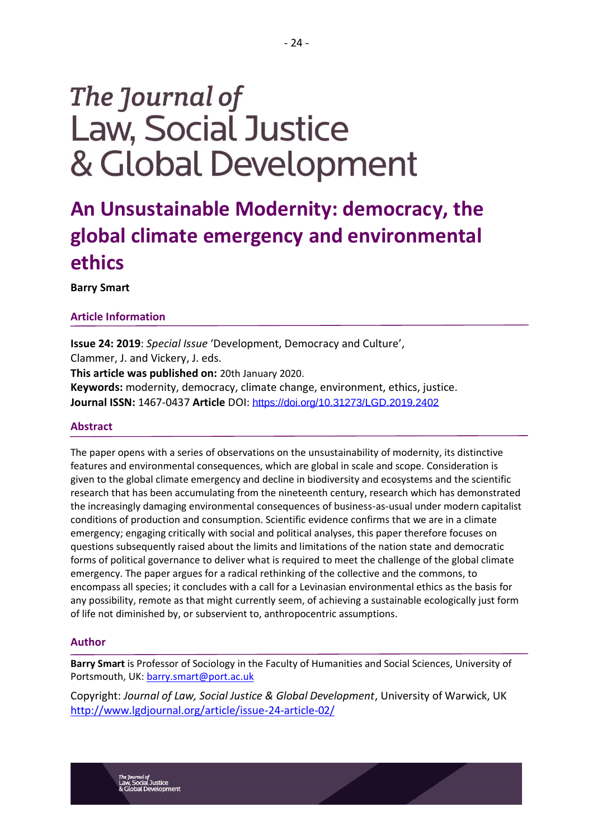# The Journal of **Law, Social Justice** & Global Development

# **An Unsustainable Modernity: democracy, the global climate emergency and environmental ethics**

## **Barry Smart**

## **Article Information**

**Issue 24: 2019**: *Special Issue* 'Development, Democracy and Culture', Clammer, J. and Vickery, J. eds. **This article was published on:** 20th January 2020. **Keywords:** modernity, democracy, climate change, environment, ethics, justice. **Journal ISSN:** 1467-0437 **Article** DOI: <https://doi.org/10.31273/LGD.2019.2402>

#### **Abstract**

The paper opens with a series of observations on the unsustainability of modernity, its distinctive features and environmental consequences, which are global in scale and scope. Consideration is given to the global climate emergency and decline in biodiversity and ecosystems and the scientific research that has been accumulating from the nineteenth century, research which has demonstrated the increasingly damaging environmental consequences of business-as-usual under modern capitalist conditions of production and consumption. Scientific evidence confirms that we are in a climate emergency; engaging critically with social and political analyses, this paper therefore focuses on questions subsequently raised about the limits and limitations of the nation state and democratic forms of political governance to deliver what is required to meet the challenge of the global climate emergency. The paper argues for a radical rethinking of the collective and the commons, to encompass all species; it concludes with a call for a Levinasian environmental ethics as the basis for any possibility, remote as that might currently seem, of achieving a sustainable ecologically just form of life not diminished by, or subservient to, anthropocentric assumptions.

#### **Author**

<sub>nal of</sub><br>›cial Justice

**Barry Smart** is Professor of Sociology in the Faculty of Humanities and Social Sciences, University of Portsmouth, UK: [barry.smart@port.ac.uk](mailto:barry.smart@port.ac.uk)

Copyright: *Journal of Law, Social Justice & Global Development*, University of Warwick, UK <http://www.lgdjournal.org/article/issue-24-article-02/>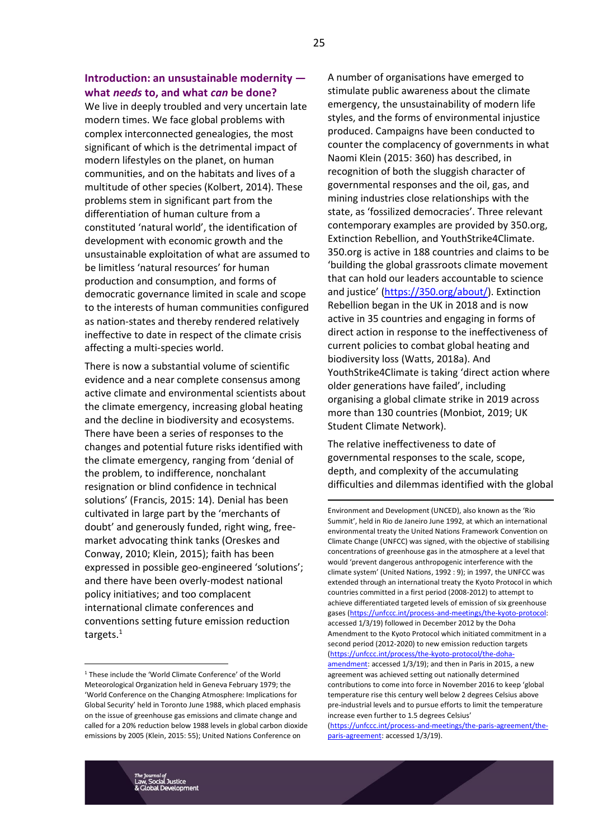# **Introduction: an unsustainable modernity what** *needs* **to, and what** *can* **be done?**

We live in deeply troubled and very uncertain late modern times. We face global problems with complex interconnected genealogies, the most significant of which is the detrimental impact of modern lifestyles on the planet, on human communities, and on the habitats and lives of a multitude of other species (Kolbert, 2014). These problems stem in significant part from the differentiation of human culture from a constituted 'natural world', the identification of development with economic growth and the unsustainable exploitation of what are assumed to be limitless 'natural resources' for human production and consumption, and forms of democratic governance limited in scale and scope to the interests of human communities configured as nation-states and thereby rendered relatively ineffective to date in respect of the climate crisis affecting a multi-species world.

There is now a substantial volume of scientific evidence and a near complete consensus among active climate and environmental scientists about the climate emergency, increasing global heating and the decline in biodiversity and ecosystems. There have been a series of responses to the changes and potential future risks identified with the climate emergency, ranging from 'denial of the problem, to indifference, nonchalant resignation or blind confidence in technical solutions' (Francis, 2015: 14). Denial has been cultivated in large part by the 'merchants of doubt' and generously funded, right wing, freemarket advocating think tanks (Oreskes and Conway, 2010; Klein, 2015); faith has been expressed in possible geo-engineered 'solutions'; and there have been overly-modest national policy initiatives; and too complacent international climate conferences and conventions setting future emission reduction targets.<sup>1</sup>

A number of organisations have emerged to stimulate public awareness about the climate emergency, the unsustainability of modern life styles, and the forms of environmental injustice produced. Campaigns have been conducted to counter the complacency of governments in what Naomi Klein (2015: 360) has described, in recognition of both the sluggish character of governmental responses and the oil, gas, and mining industries close relationships with the state, as 'fossilized democracies'. Three relevant contemporary examples are provided by 350.org, Extinction Rebellion, and YouthStrike4Climate. 350.org is active in 188 countries and claims to be 'building the global grassroots climate movement that can hold our leaders accountable to science and justice' ([https://350.org/about/\)](https://350.org/about/). Extinction Rebellion began in the UK in 2018 and is now active in 35 countries and engaging in forms of direct action in response to the ineffectiveness of current policies to combat global heating and biodiversity loss (Watts, 2018a). And YouthStrike4Climate is taking 'direct action where older generations have failed', including organising a global climate strike in 2019 across more than 130 countries (Monbiot, 2019; UK Student Climate Network).

The relative ineffectiveness to date of governmental responses to the scale, scope, depth, and complexity of the accumulating difficulties and dilemmas identified with the global

Environment and Development (UNCED), also known as the 'Rio Summit', held in Rio de Janeiro June 1992, at which an international environmental treaty the United Nations Framework Convention on Climate Change (UNFCC) was signed, with the objective of stabilising concentrations of greenhouse gas in the atmosphere at a level that would 'prevent dangerous anthropogenic interference with the climate system' (United Nations, 1992 : 9); in 1997, the UNFCC was extended through an international treaty the Kyoto Protocol in which countries committed in a first period (2008-2012) to attempt to achieve differentiated targeted levels of emission of six greenhouse gases [\(https://unfccc.int/process-and-meetings/the-kyoto-protocol:](https://unfccc.int/process-and-meetings/the-kyoto-protocol) accessed 1/3/19) followed in December 2012 by the Doha Amendment to the Kyoto Protocol which initiated commitment in a second period (2012-2020) to new emission reduction targets [\(https://unfccc.int/process/the-kyoto-protocol/the-doha](https://unfccc.int/process/the-kyoto-protocol/the-doha-amendment)[amendment:](https://unfccc.int/process/the-kyoto-protocol/the-doha-amendment) accessed 1/3/19); and then in Paris in 2015, a new agreement was achieved setting out nationally determined contributions to come into force in November 2016 to keep 'global temperature rise this century well below 2 degrees Celsius above

<sup>1</sup> These include the 'World Climate Conference' of the World Meteorological Organization held in Geneva February 1979; the 'World Conference on the Changing Atmosphere: Implications for Global Security' held in Toronto June 1988, which placed emphasis on the issue of greenhouse gas emissions and climate change and called for a 20% reduction below 1988 levels in global carbon dioxide emissions by 2005 (Klein, 2015: 55); United Nations Conference on

pre-industrial levels and to pursue efforts to limit the temperature increase even further to 1.5 degrees Celsius' [\(https://unfccc.int/process-and-meetings/the-paris-agreement/the-](https://unfccc.int/process-and-meetings/the-paris-agreement/the-paris-agreement)

[paris-agreement:](https://unfccc.int/process-and-meetings/the-paris-agreement/the-paris-agreement) accessed 1/3/19).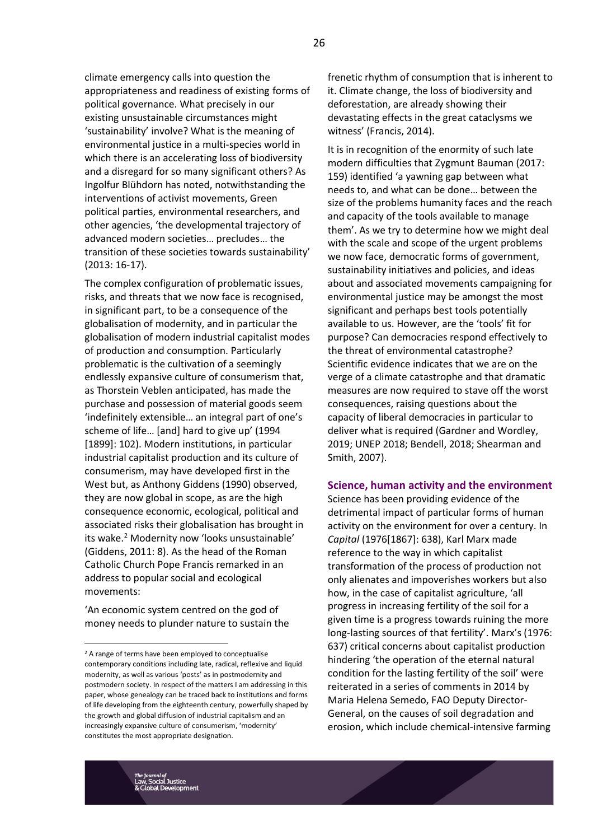climate emergency calls into question the appropriateness and readiness of existing forms of political governance. What precisely in our existing unsustainable circumstances might 'sustainability' involve? What is the meaning of environmental justice in a multi-species world in which there is an accelerating loss of biodiversity and a disregard for so many significant others? As Ingolfur Blühdorn has noted, notwithstanding the interventions of activist movements, Green political parties, environmental researchers, and other agencies, 'the developmental trajectory of advanced modern societies… precludes… the transition of these societies towards sustainability' (2013: 16-17).

The complex configuration of problematic issues, risks, and threats that we now face is recognised, in significant part, to be a consequence of the globalisation of modernity, and in particular the globalisation of modern industrial capitalist modes of production and consumption. Particularly problematic is the cultivation of a seemingly endlessly expansive culture of consumerism that, as Thorstein Veblen anticipated, has made the purchase and possession of material goods seem 'indefinitely extensible… an integral part of one's scheme of life… [and] hard to give up' (1994 [1899]: 102). Modern institutions, in particular industrial capitalist production and its culture of consumerism, may have developed first in the West but, as Anthony Giddens (1990) observed, they are now global in scope, as are the high consequence economic, ecological, political and associated risks their globalisation has brought in its wake.<sup>2</sup> Modernity now 'looks unsustainable' (Giddens, 2011: 8). As the head of the Roman Catholic Church Pope Francis remarked in an address to popular social and ecological movements:

'An economic system centred on the god of money needs to plunder nature to sustain the

frenetic rhythm of consumption that is inherent to it. Climate change, the loss of biodiversity and deforestation, are already showing their devastating effects in the great cataclysms we witness' (Francis, 2014).

It is in recognition of the enormity of such late modern difficulties that Zygmunt Bauman (2017: 159) identified 'a yawning gap between what needs to, and what can be done… between the size of the problems humanity faces and the reach and capacity of the tools available to manage them'. As we try to determine how we might deal with the scale and scope of the urgent problems we now face, democratic forms of government, sustainability initiatives and policies, and ideas about and associated movements campaigning for environmental justice may be amongst the most significant and perhaps best tools potentially available to us. However, are the 'tools' fit for purpose? Can democracies respond effectively to the threat of environmental catastrophe? Scientific evidence indicates that we are on the verge of a climate catastrophe and that dramatic measures are now required to stave off the worst consequences, raising questions about the capacity of liberal democracies in particular to deliver what is required (Gardner and Wordley, 2019; UNEP 2018; Bendell, 2018; Shearman and Smith, 2007).

#### **Science, human activity and the environment**

Science has been providing evidence of the detrimental impact of particular forms of human activity on the environment for over a century. In *Capital* (1976[1867]: 638), Karl Marx made reference to the way in which capitalist transformation of the process of production not only alienates and impoverishes workers but also how, in the case of capitalist agriculture, 'all progress in increasing fertility of the soil for a given time is a progress towards ruining the more long-lasting sources of that fertility'. Marx's (1976: 637) critical concerns about capitalist production hindering 'the operation of the eternal natural condition for the lasting fertility of the soil' were reiterated in a series of comments in 2014 by Maria Helena Semedo, FAO Deputy Director-General, on the causes of soil degradation and erosion, which include chemical-intensive farming

<sup>&</sup>lt;sup>2</sup> A range of terms have been employed to conceptualise contemporary conditions including late, radical, reflexive and liquid modernity, as well as various 'posts' as in postmodernity and postmodern society. In respect of the matters I am addressing in this paper, whose genealogy can be traced back to institutions and forms of life developing from the eighteenth century, powerfully shaped by the growth and global diffusion of industrial capitalism and an increasingly expansive culture of consumerism, 'modernity' constitutes the most appropriate designation.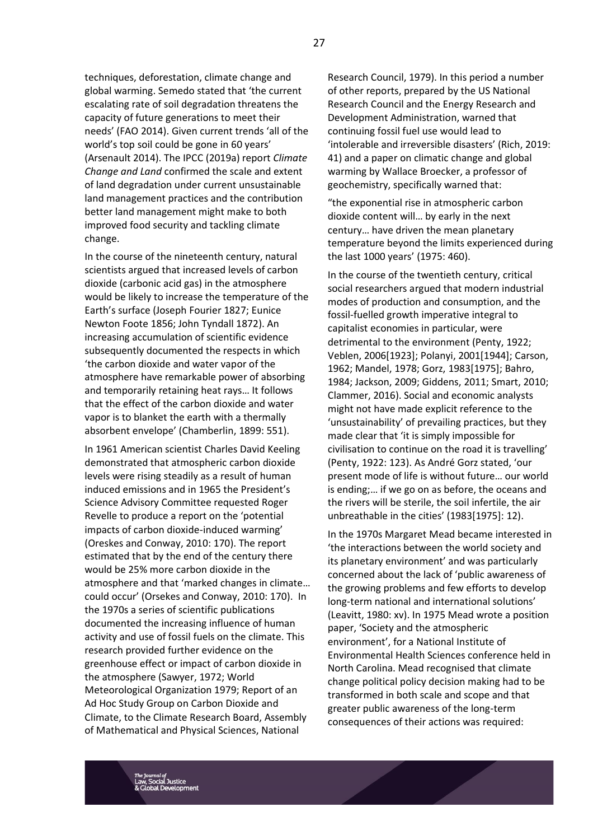techniques, deforestation, climate change and global warming. Semedo stated that 'the current escalating rate of soil degradation threatens the capacity of future generations to meet their needs' (FAO 2014). Given current trends 'all of the world's top soil could be gone in 60 years' (Arsenault 2014). The IPCC (2019a) report *Climate Change and Land* confirmed the scale and extent of land degradation under current unsustainable land management practices and the contribution better land management might make to both improved food security and tackling climate change.

In the course of the nineteenth century, natural scientists argued that increased levels of carbon dioxide (carbonic acid gas) in the atmosphere would be likely to increase the temperature of the Earth's surface (Joseph Fourier 1827; Eunice Newton Foote 1856; John Tyndall 1872). An increasing accumulation of scientific evidence subsequently documented the respects in which 'the carbon dioxide and water vapor of the atmosphere have remarkable power of absorbing and temporarily retaining heat rays… It follows that the effect of the carbon dioxide and water vapor is to blanket the earth with a thermally absorbent envelope' (Chamberlin, 1899: 551).

In 1961 American scientist Charles David Keeling demonstrated that atmospheric carbon dioxide levels were rising steadily as a result of human induced emissions and in 1965 the President's Science Advisory Committee requested Roger Revelle to produce a report on the 'potential impacts of carbon dioxide-induced warming' (Oreskes and Conway, 2010: 170). The report estimated that by the end of the century there would be 25% more carbon dioxide in the atmosphere and that 'marked changes in climate… could occur' (Orsekes and Conway, 2010: 170). In the 1970s a series of scientific publications documented the increasing influence of human activity and use of fossil fuels on the climate. This research provided further evidence on the greenhouse effect or impact of carbon dioxide in the atmosphere (Sawyer, 1972; World Meteorological Organization 1979; Report of an Ad Hoc Study Group on Carbon Dioxide and Climate, to the Climate Research Board, Assembly of Mathematical and Physical Sciences, National

Research Council, 1979). In this period a number of other reports, prepared by the US National Research Council and the Energy Research and Development Administration, warned that continuing fossil fuel use would lead to 'intolerable and irreversible disasters' (Rich, 2019: 41) and a paper on climatic change and global warming by Wallace Broecker, a professor of geochemistry, specifically warned that:

"the exponential rise in atmospheric carbon dioxide content will… by early in the next century… have driven the mean planetary temperature beyond the limits experienced during the last 1000 years' (1975: 460).

In the course of the twentieth century, critical social researchers argued that modern industrial modes of production and consumption, and the fossil-fuelled growth imperative integral to capitalist economies in particular, were detrimental to the environment (Penty, 1922; Veblen, 2006[1923]; Polanyi, 2001[1944]; Carson, 1962; Mandel, 1978; Gorz, 1983[1975]; Bahro, 1984; Jackson, 2009; Giddens, 2011; Smart, 2010; Clammer, 2016). Social and economic analysts might not have made explicit reference to the 'unsustainability' of prevailing practices, but they made clear that 'it is simply impossible for civilisation to continue on the road it is travelling' (Penty, 1922: 123). As André Gorz stated, 'our present mode of life is without future… our world is ending;… if we go on as before, the oceans and the rivers will be sterile, the soil infertile, the air unbreathable in the cities' (1983[1975]: 12).

In the 1970s Margaret Mead became interested in 'the interactions between the world society and its planetary environment' and was particularly concerned about the lack of 'public awareness of the growing problems and few efforts to develop long-term national and international solutions' (Leavitt, 1980: xv). In 1975 Mead wrote a position paper, 'Society and the atmospheric environment', for a National Institute of Environmental Health Sciences conference held in North Carolina. Mead recognised that climate change political policy decision making had to be transformed in both scale and scope and that greater public awareness of the long-term consequences of their actions was required: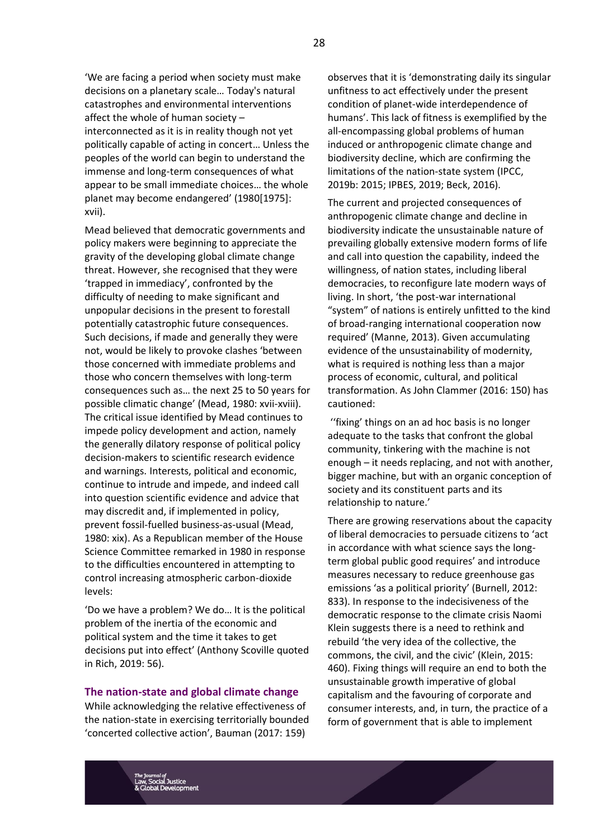'We are facing a period when society must make decisions on a planetary scale… Today's natural catastrophes and environmental interventions affect the whole of human society – interconnected as it is in reality though not yet politically capable of acting in concert… Unless the peoples of the world can begin to understand the immense and long-term consequences of what appear to be small immediate choices… the whole planet may become endangered' (1980[1975]: xvii).

Mead believed that democratic governments and policy makers were beginning to appreciate the gravity of the developing global climate change threat. However, she recognised that they were 'trapped in immediacy', confronted by the difficulty of needing to make significant and unpopular decisions in the present to forestall potentially catastrophic future consequences. Such decisions, if made and generally they were not, would be likely to provoke clashes 'between those concerned with immediate problems and those who concern themselves with long-term consequences such as… the next 25 to 50 years for possible climatic change' (Mead, 1980: xvii-xviii). The critical issue identified by Mead continues to impede policy development and action, namely the generally dilatory response of political policy decision-makers to scientific research evidence and warnings. Interests, political and economic, continue to intrude and impede, and indeed call into question scientific evidence and advice that may discredit and, if implemented in policy, prevent fossil-fuelled business-as-usual (Mead, 1980: xix). As a Republican member of the House Science Committee remarked in 1980 in response to the difficulties encountered in attempting to control increasing atmospheric carbon-dioxide levels:

'Do we have a problem? We do… It is the political problem of the inertia of the economic and political system and the time it takes to get decisions put into effect' (Anthony Scoville quoted in Rich, 2019: 56).

#### **The nation-state and global climate change**

While acknowledging the relative effectiveness of the nation-state in exercising territorially bounded 'concerted collective action', Bauman (2017: 159)

observes that it is 'demonstrating daily its singular unfitness to act effectively under the present condition of planet-wide interdependence of humans'. This lack of fitness is exemplified by the all-encompassing global problems of human induced or anthropogenic climate change and biodiversity decline, which are confirming the limitations of the nation-state system (IPCC, 2019b: 2015; IPBES, 2019; Beck, 2016).

The current and projected consequences of anthropogenic climate change and decline in biodiversity indicate the unsustainable nature of prevailing globally extensive modern forms of life and call into question the capability, indeed the willingness, of nation states, including liberal democracies, to reconfigure late modern ways of living. In short, 'the post-war international "system" of nations is entirely unfitted to the kind of broad-ranging international cooperation now required' (Manne, 2013). Given accumulating evidence of the unsustainability of modernity, what is required is nothing less than a major process of economic, cultural, and political transformation. As John Clammer (2016: 150) has cautioned:

''fixing' things on an ad hoc basis is no longer adequate to the tasks that confront the global community, tinkering with the machine is not enough – it needs replacing, and not with another, bigger machine, but with an organic conception of society and its constituent parts and its relationship to nature.'

There are growing reservations about the capacity of liberal democracies to persuade citizens to 'act in accordance with what science says the longterm global public good requires' and introduce measures necessary to reduce greenhouse gas emissions 'as a political priority' (Burnell, 2012: 833). In response to the indecisiveness of the democratic response to the climate crisis Naomi Klein suggests there is a need to rethink and rebuild 'the very idea of the collective, the commons, the civil, and the civic' (Klein, 2015: 460). Fixing things will require an end to both the unsustainable growth imperative of global capitalism and the favouring of corporate and consumer interests, and, in turn, the practice of a form of government that is able to implement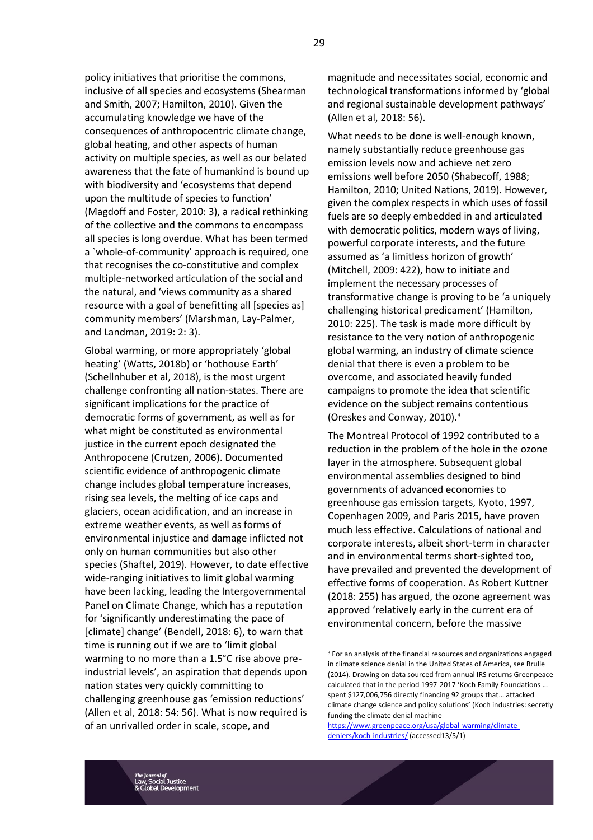policy initiatives that prioritise the commons, inclusive of all species and ecosystems (Shearman and Smith, 2007; Hamilton, 2010). Given the accumulating knowledge we have of the consequences of anthropocentric climate change, global heating, and other aspects of human activity on multiple species, as well as our belated awareness that the fate of humankind is bound up with biodiversity and 'ecosystems that depend upon the multitude of species to function' (Magdoff and Foster, 2010: 3), a radical rethinking of the collective and the commons to encompass all species is long overdue. What has been termed a `whole-of-community' approach is required, one that recognises the co-constitutive and complex multiple-networked articulation of the social and the natural, and 'views community as a shared resource with a goal of benefitting all [species as] community members' (Marshman, Lay-Palmer, and Landman, 2019: 2: 3).

Global warming, or more appropriately 'global heating' (Watts, 2018b) or 'hothouse Earth' (Schellnhuber et al, 2018), is the most urgent challenge confronting all nation-states. There are significant implications for the practice of democratic forms of government, as well as for what might be constituted as environmental justice in the current epoch designated the Anthropocene (Crutzen, 2006). Documented scientific evidence of anthropogenic climate change includes global temperature increases, rising sea levels, the melting of ice caps and glaciers, ocean acidification, and an increase in extreme weather events, as well as forms of environmental injustice and damage inflicted not only on human communities but also other species (Shaftel, 2019). However, to date effective wide-ranging initiatives to limit global warming have been lacking, leading the Intergovernmental Panel on Climate Change, which has a reputation for 'significantly underestimating the pace of [climate] change' (Bendell, 2018: 6), to warn that time is running out if we are to 'limit global warming to no more than a 1.5°C rise above preindustrial levels', an aspiration that depends upon nation states very quickly committing to challenging greenhouse gas 'emission reductions' (Allen et al, 2018: 54: 56). What is now required is of an unrivalled order in scale, scope, and

magnitude and necessitates social, economic and technological transformations informed by 'global and regional sustainable development pathways' (Allen et al, 2018: 56).

What needs to be done is well-enough known, namely substantially reduce greenhouse gas emission levels now and achieve net zero emissions well before 2050 (Shabecoff, 1988; Hamilton, 2010; United Nations, 2019). However, given the complex respects in which uses of fossil fuels are so deeply embedded in and articulated with democratic politics, modern ways of living, powerful corporate interests, and the future assumed as 'a limitless horizon of growth' (Mitchell, 2009: 422), how to initiate and implement the necessary processes of transformative change is proving to be 'a uniquely challenging historical predicament' (Hamilton, 2010: 225). The task is made more difficult by resistance to the very notion of anthropogenic global warming, an industry of climate science denial that there is even a problem to be overcome, and associated heavily funded campaigns to promote the idea that scientific evidence on the subject remains contentious (Oreskes and Conway, 2010).<sup>3</sup>

The Montreal Protocol of 1992 contributed to a reduction in the problem of the hole in the ozone layer in the atmosphere. Subsequent global environmental assemblies designed to bind governments of advanced economies to greenhouse gas emission targets, Kyoto, 1997, Copenhagen 2009, and Paris 2015, have proven much less effective. Calculations of national and corporate interests, albeit short-term in character and in environmental terms short-sighted too, have prevailed and prevented the development of effective forms of cooperation. As Robert Kuttner (2018: 255) has argued, the ozone agreement was approved 'relatively early in the current era of environmental concern, before the massive

[https://www.greenpeace.org/usa/global-warming/climate](https://www.greenpeace.org/usa/global-warming/climate-deniers/koch-industries/)[deniers/koch-industries/](https://www.greenpeace.org/usa/global-warming/climate-deniers/koch-industries/) (accessed13/5/1)

<sup>&</sup>lt;sup>3</sup> For an analysis of the financial resources and organizations engaged in climate science denial in the United States of America, see Brulle (2014). Drawing on data sourced from annual IRS returns Greenpeace calculated that in the period 1997-2017 'Koch Family Foundations … spent \$127,006,756 directly financing 92 groups that… attacked climate change science and policy solutions' (Koch industries: secretly funding the climate denial machine -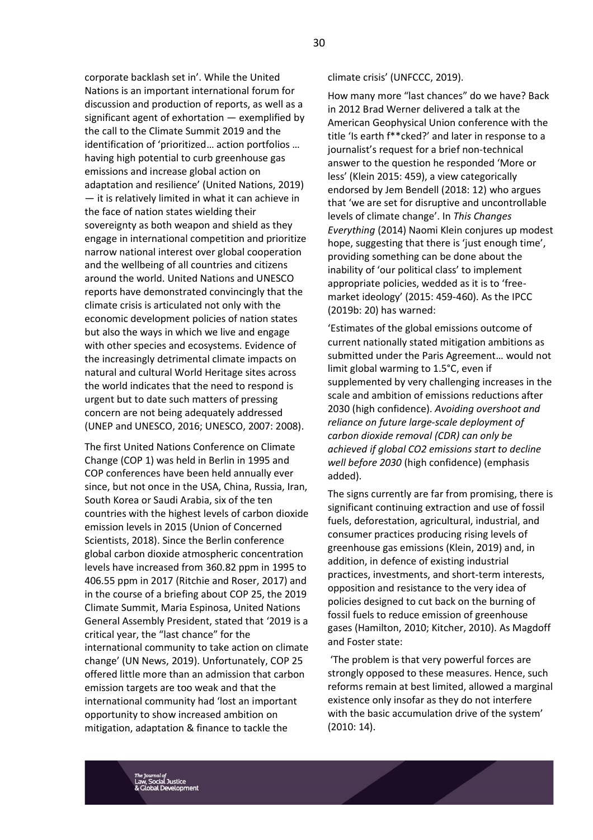corporate backlash set in'. While the United Nations is an important international forum for discussion and production of reports, as well as a significant agent of exhortation — exemplified by the call to the Climate Summit 2019 and the identification of 'prioritized… action portfolios … having high potential to curb greenhouse gas emissions and increase global action on adaptation and resilience' (United Nations, 2019) — it is relatively limited in what it can achieve in the face of nation states wielding their sovereignty as both weapon and shield as they engage in international competition and prioritize narrow national interest over global cooperation and the wellbeing of all countries and citizens around the world. United Nations and UNESCO reports have demonstrated convincingly that the climate crisis is articulated not only with the economic development policies of nation states but also the ways in which we live and engage with other species and ecosystems. Evidence of the increasingly detrimental climate impacts on natural and cultural World Heritage sites across the world indicates that the need to respond is urgent but to date such matters of pressing concern are not being adequately addressed (UNEP and UNESCO, 2016; UNESCO, 2007: 2008).

The first United Nations Conference on Climate Change (COP 1) was held in Berlin in 1995 and COP conferences have been held annually ever since, but not once in the USA, China, Russia, Iran, South Korea or Saudi Arabia, six of the ten countries with the highest levels of carbon dioxide emission levels in 2015 (Union of Concerned Scientists, 2018). Since the Berlin conference global carbon dioxide atmospheric concentration levels have increased from 360.82 ppm in 1995 to 406.55 ppm in 2017 (Ritchie and Roser, 2017) and in the course of a briefing about COP 25, the 2019 Climate Summit, Maria Espinosa, United Nations General Assembly President, stated that '2019 is a critical year, the "last chance" for the international community to take action on climate change' (UN News, 2019). Unfortunately, COP 25 offered little more than an admission that carbon emission targets are too weak and that the international community had 'lost an important opportunity to show increased ambition on mitigation, adaptation & finance to tackle the

climate crisis' (UNFCCC, 2019).

How many more "last chances" do we have? Back in 2012 Brad Werner delivered a talk at the American Geophysical Union conference with the title 'Is earth f\*\*cked?' and later in response to a journalist's request for a brief non-technical answer to the question he responded 'More or less' (Klein 2015: 459), a view categorically endorsed by Jem Bendell (2018: 12) who argues that 'we are set for disruptive and uncontrollable levels of climate change'. In *This Changes Everything* (2014) Naomi Klein conjures up modest hope, suggesting that there is 'just enough time', providing something can be done about the inability of 'our political class' to implement appropriate policies, wedded as it is to 'freemarket ideology' (2015: 459-460). As the IPCC (2019b: 20) has warned:

'Estimates of the global emissions outcome of current nationally stated mitigation ambitions as submitted under the Paris Agreement… would not limit global warming to 1.5°C, even if supplemented by very challenging increases in the scale and ambition of emissions reductions after 2030 (high confidence). *Avoiding overshoot and reliance on future large-scale deployment of carbon dioxide removal (CDR) can only be achieved if global CO2 emissions start to decline well before 2030* (high confidence) (emphasis added).

The signs currently are far from promising, there is significant continuing extraction and use of fossil fuels, deforestation, agricultural, industrial, and consumer practices producing rising levels of greenhouse gas emissions (Klein, 2019) and, in addition, in defence of existing industrial practices, investments, and short-term interests, opposition and resistance to the very idea of policies designed to cut back on the burning of fossil fuels to reduce emission of greenhouse gases (Hamilton, 2010; Kitcher, 2010). As Magdoff and Foster state:

'The problem is that very powerful forces are strongly opposed to these measures. Hence, such reforms remain at best limited, allowed a marginal existence only insofar as they do not interfere with the basic accumulation drive of the system' (2010: 14).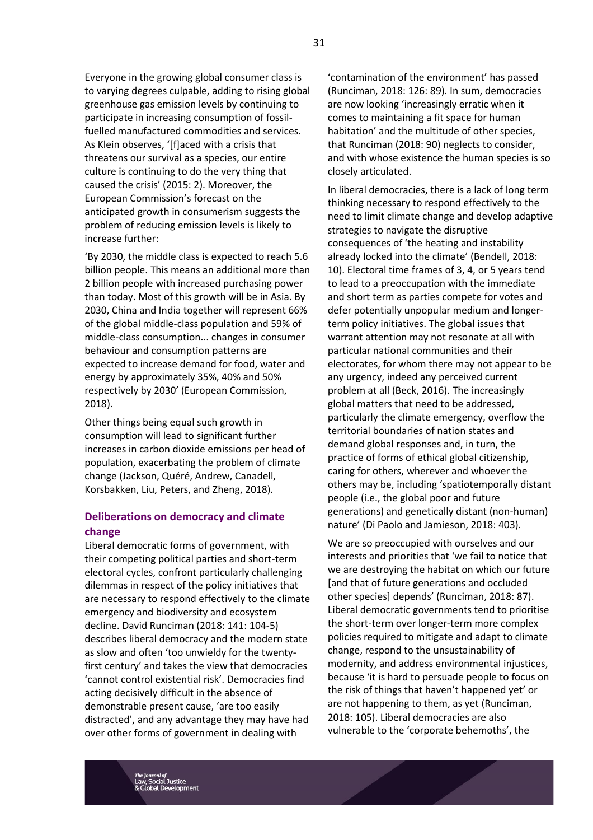Everyone in the growing global consumer class is to varying degrees culpable, adding to rising global greenhouse gas emission levels by continuing to participate in increasing consumption of fossilfuelled manufactured commodities and services. As Klein observes, '[f]aced with a crisis that threatens our survival as a species, our entire culture is continuing to do the very thing that caused the crisis' (2015: 2). Moreover, the European Commission's forecast on the anticipated growth in consumerism suggests the problem of reducing emission levels is likely to increase further:

'By 2030, the middle class is expected to reach 5.6 billion people. This means an additional more than 2 billion people with increased purchasing power than today. Most of this growth will be in Asia. By 2030, China and India together will represent 66% of the global middle-class population and 59% of middle-class consumption... changes in consumer behaviour and consumption patterns are expected to increase demand for food, water and energy by approximately 35%, 40% and 50% respectively by 2030' (European Commission, 2018).

Other things being equal such growth in consumption will lead to significant further increases in carbon dioxide emissions per head of population, exacerbating the problem of climate change (Jackson, Quéré, Andrew, Canadell, Korsbakken, Liu, Peters, and Zheng, 2018).

# **Deliberations on democracy and climate change**

Liberal democratic forms of government, with their competing political parties and short-term electoral cycles, confront particularly challenging dilemmas in respect of the policy initiatives that are necessary to respond effectively to the climate emergency and biodiversity and ecosystem decline. David Runciman (2018: 141: 104-5) describes liberal democracy and the modern state as slow and often 'too unwieldy for the twentyfirst century' and takes the view that democracies 'cannot control existential risk'. Democracies find acting decisively difficult in the absence of demonstrable present cause, 'are too easily distracted', and any advantage they may have had over other forms of government in dealing with

'contamination of the environment' has passed (Runciman, 2018: 126: 89). In sum, democracies are now looking 'increasingly erratic when it comes to maintaining a fit space for human habitation' and the multitude of other species, that Runciman (2018: 90) neglects to consider, and with whose existence the human species is so closely articulated.

In liberal democracies, there is a lack of long term thinking necessary to respond effectively to the need to limit climate change and develop adaptive strategies to navigate the disruptive consequences of 'the heating and instability already locked into the climate' (Bendell, 2018: 10). Electoral time frames of 3, 4, or 5 years tend to lead to a preoccupation with the immediate and short term as parties compete for votes and defer potentially unpopular medium and longerterm policy initiatives. The global issues that warrant attention may not resonate at all with particular national communities and their electorates, for whom there may not appear to be any urgency, indeed any perceived current problem at all (Beck, 2016). The increasingly global matters that need to be addressed, particularly the climate emergency, overflow the territorial boundaries of nation states and demand global responses and, in turn, the practice of forms of ethical global citizenship, caring for others, wherever and whoever the others may be, including 'spatiotemporally distant people (i.e., the global poor and future generations) and genetically distant (non-human) nature' (Di Paolo and Jamieson, 2018: 403).

We are so preoccupied with ourselves and our interests and priorities that 'we fail to notice that we are destroying the habitat on which our future [and that of future generations and occluded other species] depends' (Runciman, 2018: 87). Liberal democratic governments tend to prioritise the short-term over longer-term more complex policies required to mitigate and adapt to climate change, respond to the unsustainability of modernity, and address environmental injustices, because 'it is hard to persuade people to focus on the risk of things that haven't happened yet' or are not happening to them, as yet (Runciman, 2018: 105). Liberal democracies are also vulnerable to the 'corporate behemoths', the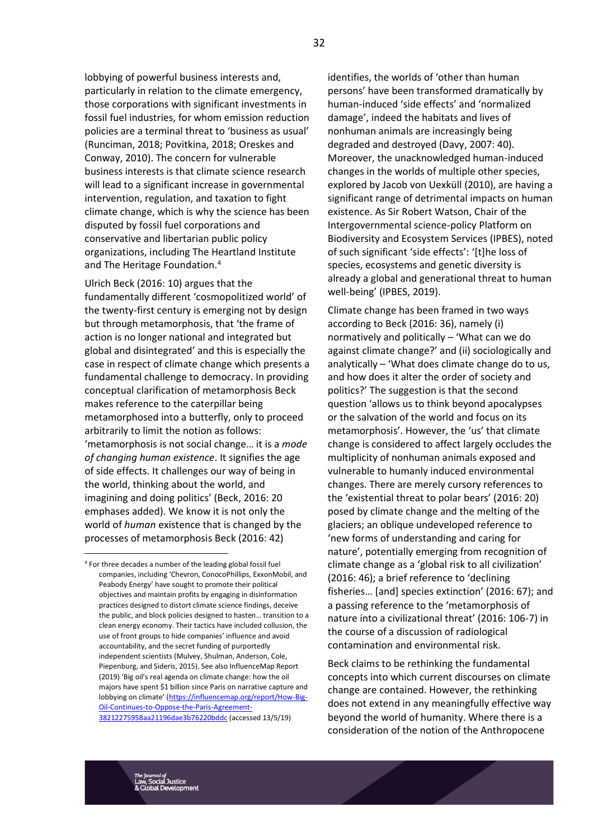lobbying of powerful business interests and, particularly in relation to the climate emergency, those corporations with significant investments in fossil fuel industries, for whom emission reduction policies are a terminal threat to 'business as usual' (Runciman, 2018; Povitkina, 2018; Oreskes and Conway, 2010). The concern for vulnerable business interests is that climate science research will lead to a significant increase in governmental intervention, regulation, and taxation to fight climate change, which is why the science has been disputed by fossil fuel corporations and conservative and libertarian public policy organizations, including The Heartland Institute and The Heritage Foundation.<sup>4</sup>

Ulrich Beck (2016: 10) argues that the fundamentally different 'cosmopolitized world' of the twenty-first century is emerging not by design but through metamorphosis, that 'the frame of action is no longer national and integrated but global and disintegrated' and this is especially the case in respect of climate change which presents a fundamental challenge to democracy. In providing conceptual clarification of metamorphosis Beck makes reference to the caterpillar being metamorphosed into a butterfly, only to proceed arbitrarily to limit the notion as follows: 'metamorphosis is not social change… it is a *mode of changing human existence*. It signifies the age of side effects. It challenges our way of being in the world, thinking about the world, and imagining and doing politics' (Beck, 2016: 20 emphases added). We know it is not only the world of *human* existence that is changed by the processes of metamorphosis Beck (2016: 42)

identifies, the worlds of 'other than human persons' have been transformed dramatically by human-induced 'side effects' and 'normalized damage', indeed the habitats and lives of nonhuman animals are increasingly being degraded and destroyed (Davy, 2007: 40). Moreover, the unacknowledged human-induced changes in the worlds of multiple other species, explored by Jacob von Uexküll (2010), are having a significant range of detrimental impacts on human existence. As Sir Robert Watson, Chair of the Intergovernmental science-policy Platform on Biodiversity and Ecosystem Services (IPBES), noted of such significant 'side effects': '[t]he loss of species, ecosystems and genetic diversity is already a global and generational threat to human well-being' (IPBES, 2019).

Climate change has been framed in two ways according to Beck (2016: 36), namely (i) normatively and politically – 'What can we do against climate change?' and (ii) sociologically and analytically – 'What does climate change do to us, and how does it alter the order of society and politics?' The suggestion is that the second question 'allows us to think beyond apocalypses or the salvation of the world and focus on its metamorphosis'. However, the 'us' that climate change is considered to affect largely occludes the multiplicity of nonhuman animals exposed and vulnerable to humanly induced environmental changes. There are merely cursory references to the 'existential threat to polar bears' (2016: 20) posed by climate change and the melting of the glaciers; an oblique undeveloped reference to 'new forms of understanding and caring for nature', potentially emerging from recognition of climate change as a 'global risk to all civilization' (2016: 46); a brief reference to 'declining fisheries… [and] species extinction' (2016: 67); and a passing reference to the 'metamorphosis of nature into a civilizational threat' (2016: 106-7) in the course of a discussion of radiological contamination and environmental risk.

Beck claims to be rethinking the fundamental concepts into which current discourses on climate change are contained. However, the rethinking does not extend in any meaningfully effective way beyond the world of humanity. Where there is a consideration of the notion of the Anthropocene

<sup>4</sup> For three decades a number of the leading global fossil fuel companies, including 'Chevron, ConocoPhillips, ExxonMobil, and Peabody Energy' have sought to promote their political objectives and maintain profits by engaging in disinformation practices designed to distort climate science findings, deceive the public, and block policies designed to hasten… transition to a clean energy economy. Their tactics have included collusion, the use of front groups to hide companies' influence and avoid accountability, and the secret funding of purportedly independent scientists (Mulvey, Shulman, Anderson, Cole, Piepenburg, and Sideris, 2015). See also InfluenceMap Report (2019) 'Big oil's real agenda on climate change: how the oil majors have spent \$1 billion since Paris on narrative capture and lobbying on climate' ([https://influencemap.org/report/How-Big-](https://influencemap.org/report/How-Big-Oil-Continues-to-Oppose-the-Paris-Agreement-38212275958aa21196dae3b76220bddc)[Oil-Continues-to-Oppose-the-Paris-Agreement-](https://influencemap.org/report/How-Big-Oil-Continues-to-Oppose-the-Paris-Agreement-38212275958aa21196dae3b76220bddc)[38212275958aa21196dae3b76220bddc](https://influencemap.org/report/How-Big-Oil-Continues-to-Oppose-the-Paris-Agreement-38212275958aa21196dae3b76220bddc) (accessed 13/5/19)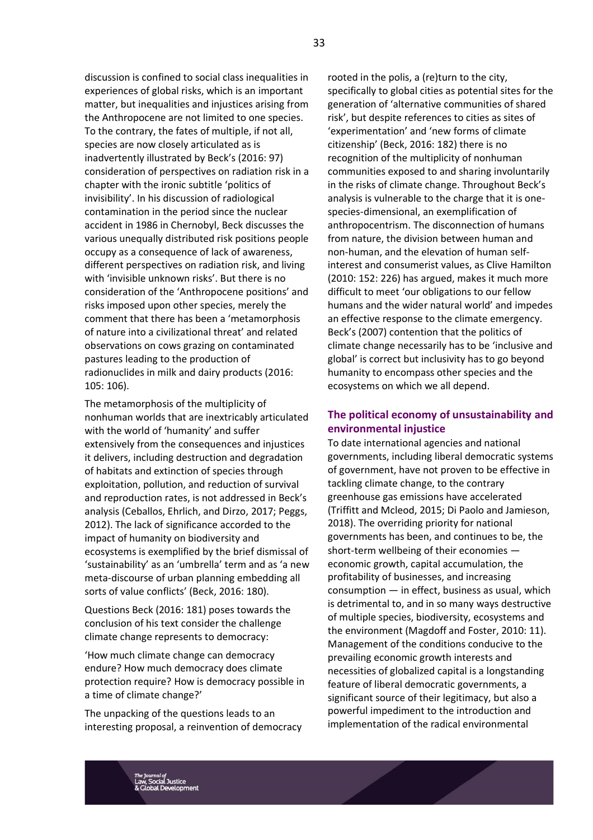discussion is confined to social class inequalities in experiences of global risks, which is an important matter, but inequalities and injustices arising from the Anthropocene are not limited to one species. To the contrary, the fates of multiple, if not all, species are now closely articulated as is inadvertently illustrated by Beck's (2016: 97) consideration of perspectives on radiation risk in a chapter with the ironic subtitle 'politics of invisibility'. In his discussion of radiological contamination in the period since the nuclear accident in 1986 in Chernobyl, Beck discusses the various unequally distributed risk positions people occupy as a consequence of lack of awareness, different perspectives on radiation risk, and living with 'invisible unknown risks'. But there is no consideration of the 'Anthropocene positions' and risks imposed upon other species, merely the comment that there has been a 'metamorphosis of nature into a civilizational threat' and related observations on cows grazing on contaminated pastures leading to the production of radionuclides in milk and dairy products (2016: 105: 106).

The metamorphosis of the multiplicity of nonhuman worlds that are inextricably articulated with the world of 'humanity' and suffer extensively from the consequences and injustices it delivers, including destruction and degradation of habitats and extinction of species through exploitation, pollution, and reduction of survival and reproduction rates, is not addressed in Beck's analysis (Ceballos, Ehrlich, and Dirzo, 2017; Peggs, 2012). The lack of significance accorded to the impact of humanity on biodiversity and ecosystems is exemplified by the brief dismissal of 'sustainability' as an 'umbrella' term and as 'a new meta-discourse of urban planning embedding all sorts of value conflicts' (Beck, 2016: 180).

Questions Beck (2016: 181) poses towards the conclusion of his text consider the challenge climate change represents to democracy:

'How much climate change can democracy endure? How much democracy does climate protection require? How is democracy possible in a time of climate change?'

The unpacking of the questions leads to an interesting proposal, a reinvention of democracy

rooted in the polis, a (re)turn to the city, specifically to global cities as potential sites for the generation of 'alternative communities of shared risk', but despite references to cities as sites of 'experimentation' and 'new forms of climate citizenship' (Beck, 2016: 182) there is no recognition of the multiplicity of nonhuman communities exposed to and sharing involuntarily in the risks of climate change. Throughout Beck's analysis is vulnerable to the charge that it is onespecies-dimensional, an exemplification of anthropocentrism. The disconnection of humans from nature, the division between human and non-human, and the elevation of human selfinterest and consumerist values, as Clive Hamilton (2010: 152: 226) has argued, makes it much more difficult to meet 'our obligations to our fellow humans and the wider natural world' and impedes an effective response to the climate emergency. Beck's (2007) contention that the politics of climate change necessarily has to be 'inclusive and global' is correct but inclusivity has to go beyond humanity to encompass other species and the ecosystems on which we all depend.

# **The political economy of unsustainability and environmental injustice**

To date international agencies and national governments, including liberal democratic systems of government, have not proven to be effective in tackling climate change, to the contrary greenhouse gas emissions have accelerated (Triffitt and Mcleod, 2015; Di Paolo and Jamieson, 2018). The overriding priority for national governments has been, and continues to be, the short-term wellbeing of their economies economic growth, capital accumulation, the profitability of businesses, and increasing consumption — in effect, business as usual, which is detrimental to, and in so many ways destructive of multiple species, biodiversity, ecosystems and the environment (Magdoff and Foster, 2010: 11). Management of the conditions conducive to the prevailing economic growth interests and necessities of globalized capital is a longstanding feature of liberal democratic governments, a significant source of their legitimacy, but also a powerful impediment to the introduction and implementation of the radical environmental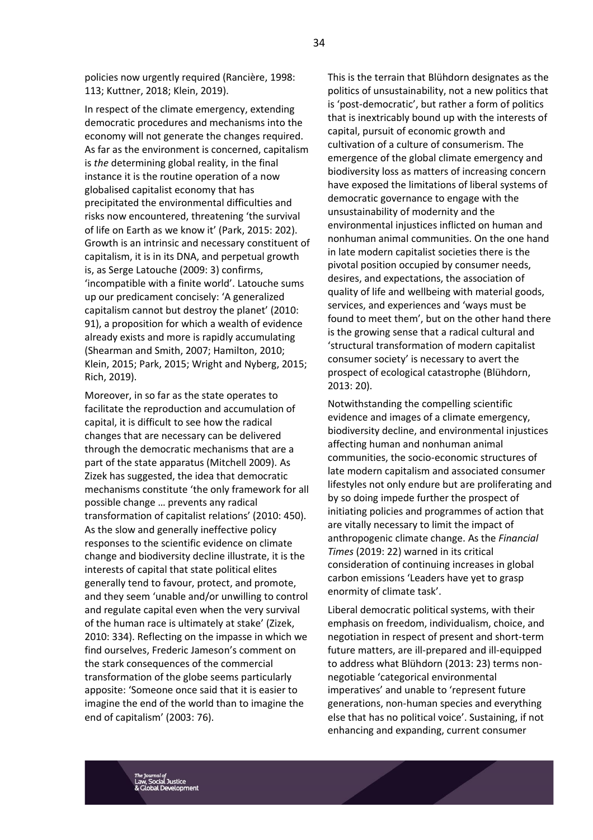policies now urgently required (Rancière, 1998: 113; Kuttner, 2018; Klein, 2019).

In respect of the climate emergency, extending democratic procedures and mechanisms into the economy will not generate the changes required. As far as the environment is concerned, capitalism is *the* determining global reality, in the final instance it is the routine operation of a now globalised capitalist economy that has precipitated the environmental difficulties and risks now encountered, threatening 'the survival of life on Earth as we know it' (Park, 2015: 202). Growth is an intrinsic and necessary constituent of capitalism, it is in its DNA, and perpetual growth is, as Serge Latouche (2009: 3) confirms, 'incompatible with a finite world'. Latouche sums up our predicament concisely: 'A generalized capitalism cannot but destroy the planet' (2010: 91), a proposition for which a wealth of evidence already exists and more is rapidly accumulating (Shearman and Smith, 2007; Hamilton, 2010; Klein, 2015; Park, 2015; Wright and Nyberg, 2015; Rich, 2019).

Moreover, in so far as the state operates to facilitate the reproduction and accumulation of capital, it is difficult to see how the radical changes that are necessary can be delivered through the democratic mechanisms that are a part of the state apparatus (Mitchell 2009). As Zizek has suggested, the idea that democratic mechanisms constitute 'the only framework for all possible change … prevents any radical transformation of capitalist relations' (2010: 450). As the slow and generally ineffective policy responses to the scientific evidence on climate change and biodiversity decline illustrate, it is the interests of capital that state political elites generally tend to favour, protect, and promote, and they seem 'unable and/or unwilling to control and regulate capital even when the very survival of the human race is ultimately at stake' (Zizek, 2010: 334). Reflecting on the impasse in which we find ourselves, Frederic Jameson's comment on the stark consequences of the commercial transformation of the globe seems particularly apposite: 'Someone once said that it is easier to imagine the end of the world than to imagine the end of capitalism' (2003: 76).

This is the terrain that Blühdorn designates as the politics of unsustainability, not a new politics that is 'post-democratic', but rather a form of politics that is inextricably bound up with the interests of capital, pursuit of economic growth and cultivation of a culture of consumerism. The emergence of the global climate emergency and biodiversity loss as matters of increasing concern have exposed the limitations of liberal systems of democratic governance to engage with the unsustainability of modernity and the environmental injustices inflicted on human and nonhuman animal communities. On the one hand in late modern capitalist societies there is the pivotal position occupied by consumer needs, desires, and expectations, the association of quality of life and wellbeing with material goods, services, and experiences and 'ways must be found to meet them', but on the other hand there is the growing sense that a radical cultural and 'structural transformation of modern capitalist consumer society' is necessary to avert the prospect of ecological catastrophe (Blühdorn, 2013: 20).

Notwithstanding the compelling scientific evidence and images of a climate emergency, biodiversity decline, and environmental injustices affecting human and nonhuman animal communities, the socio-economic structures of late modern capitalism and associated consumer lifestyles not only endure but are proliferating and by so doing impede further the prospect of initiating policies and programmes of action that are vitally necessary to limit the impact of anthropogenic climate change. As the *Financial Times* (2019: 22) warned in its critical consideration of continuing increases in global carbon emissions 'Leaders have yet to grasp enormity of climate task'.

Liberal democratic political systems, with their emphasis on freedom, individualism, choice, and negotiation in respect of present and short-term future matters, are ill-prepared and ill-equipped to address what Blühdorn (2013: 23) terms nonnegotiable 'categorical environmental imperatives' and unable to 'represent future generations, non-human species and everything else that has no political voice'. Sustaining, if not enhancing and expanding, current consumer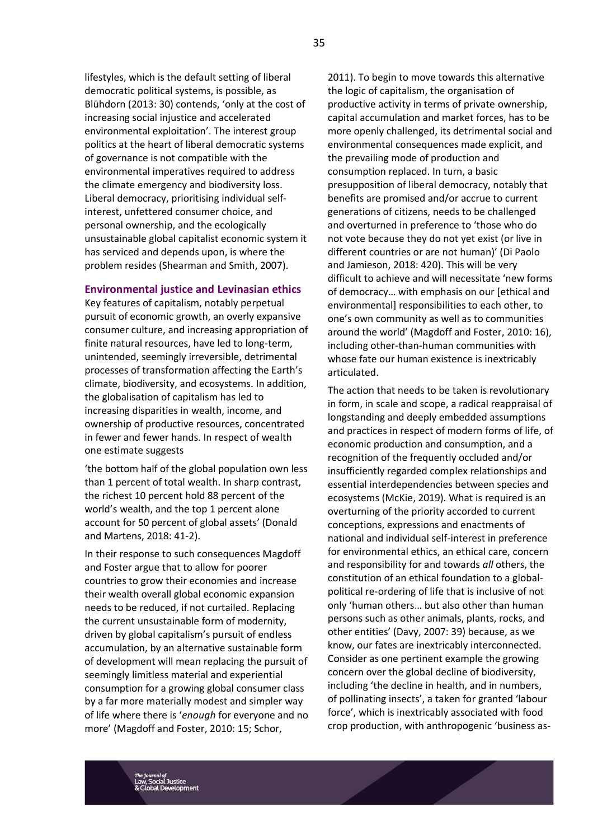lifestyles, which is the default setting of liberal democratic political systems, is possible, as Blühdorn (2013: 30) contends, 'only at the cost of increasing social injustice and accelerated environmental exploitation'. The interest group politics at the heart of liberal democratic systems of governance is not compatible with the environmental imperatives required to address the climate emergency and biodiversity loss. Liberal democracy, prioritising individual selfinterest, unfettered consumer choice, and personal ownership, and the ecologically unsustainable global capitalist economic system it has serviced and depends upon, is where the problem resides (Shearman and Smith, 2007).

#### **Environmental justice and Levinasian ethics**

Key features of capitalism, notably perpetual pursuit of economic growth, an overly expansive consumer culture, and increasing appropriation of finite natural resources, have led to long-term, unintended, seemingly irreversible, detrimental processes of transformation affecting the Earth's climate, biodiversity, and ecosystems. In addition, the globalisation of capitalism has led to increasing disparities in wealth, income, and ownership of productive resources, concentrated in fewer and fewer hands. In respect of wealth one estimate suggests

'the bottom half of the global population own less than 1 percent of total wealth. In sharp contrast, the richest 10 percent hold 88 percent of the world's wealth, and the top 1 percent alone account for 50 percent of global assets' (Donald and Martens, 2018: 41-2).

In their response to such consequences Magdoff and Foster argue that to allow for poorer countries to grow their economies and increase their wealth overall global economic expansion needs to be reduced, if not curtailed. Replacing the current unsustainable form of modernity, driven by global capitalism's pursuit of endless accumulation, by an alternative sustainable form of development will mean replacing the pursuit of seemingly limitless material and experiential consumption for a growing global consumer class by a far more materially modest and simpler way of life where there is '*enough* for everyone and no more' (Magdoff and Foster, 2010: 15; Schor,

2011). To begin to move towards this alternative the logic of capitalism, the organisation of productive activity in terms of private ownership, capital accumulation and market forces, has to be more openly challenged, its detrimental social and environmental consequences made explicit, and the prevailing mode of production and consumption replaced. In turn, a basic presupposition of liberal democracy, notably that benefits are promised and/or accrue to current generations of citizens, needs to be challenged and overturned in preference to 'those who do not vote because they do not yet exist (or live in different countries or are not human)' (Di Paolo and Jamieson, 2018: 420). This will be very difficult to achieve and will necessitate 'new forms of democracy… with emphasis on our [ethical and environmental] responsibilities to each other, to one's own community as well as to communities around the world' (Magdoff and Foster, 2010: 16), including other-than-human communities with whose fate our human existence is inextricably articulated.

The action that needs to be taken is revolutionary in form, in scale and scope, a radical reappraisal of longstanding and deeply embedded assumptions and practices in respect of modern forms of life, of economic production and consumption, and a recognition of the frequently occluded and/or insufficiently regarded complex relationships and essential interdependencies between species and ecosystems (McKie, 2019). What is required is an overturning of the priority accorded to current conceptions, expressions and enactments of national and individual self-interest in preference for environmental ethics, an ethical care, concern and responsibility for and towards *all* others, the constitution of an ethical foundation to a globalpolitical re-ordering of life that is inclusive of not only 'human others… but also other than human persons such as other animals, plants, rocks, and other entities' (Davy, 2007: 39) because, as we know, our fates are inextricably interconnected. Consider as one pertinent example the growing concern over the global decline of biodiversity, including 'the decline in health, and in numbers, of pollinating insects', a taken for granted 'labour force', which is inextricably associated with food crop production, with anthropogenic 'business as-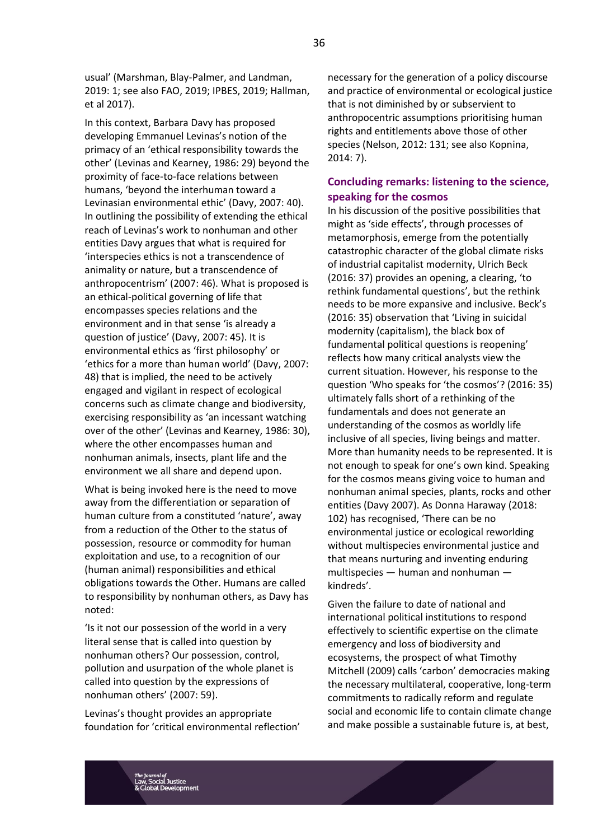usual' (Marshman, Blay-Palmer, and Landman, 2019: 1; see also FAO, 2019; IPBES, 2019; Hallman, et al 2017).

In this context, Barbara Davy has proposed developing Emmanuel Levinas's notion of the primacy of an 'ethical responsibility towards the other' (Levinas and Kearney, 1986: 29) beyond the proximity of face-to-face relations between humans, 'beyond the interhuman toward a Levinasian environmental ethic' (Davy, 2007: 40). In outlining the possibility of extending the ethical reach of Levinas's work to nonhuman and other entities Davy argues that what is required for 'interspecies ethics is not a transcendence of animality or nature, but a transcendence of anthropocentrism' (2007: 46). What is proposed is an ethical-political governing of life that encompasses species relations and the environment and in that sense 'is already a question of justice' (Davy, 2007: 45). It is environmental ethics as 'first philosophy' or 'ethics for a more than human world' (Davy, 2007: 48) that is implied, the need to be actively engaged and vigilant in respect of ecological concerns such as climate change and biodiversity, exercising responsibility as 'an incessant watching over of the other' (Levinas and Kearney, 1986: 30), where the other encompasses human and nonhuman animals, insects, plant life and the environment we all share and depend upon.

What is being invoked here is the need to move away from the differentiation or separation of human culture from a constituted 'nature', away from a reduction of the Other to the status of possession, resource or commodity for human exploitation and use, to a recognition of our (human animal) responsibilities and ethical obligations towards the Other. Humans are called to responsibility by nonhuman others, as Davy has noted:

'Is it not our possession of the world in a very literal sense that is called into question by nonhuman others? Our possession, control, pollution and usurpation of the whole planet is called into question by the expressions of nonhuman others' (2007: 59).

Levinas's thought provides an appropriate foundation for 'critical environmental reflection' necessary for the generation of a policy discourse and practice of environmental or ecological justice that is not diminished by or subservient to anthropocentric assumptions prioritising human rights and entitlements above those of other species (Nelson, 2012: 131; see also Kopnina, 2014: 7).

# **Concluding remarks: listening to the science, speaking for the cosmos**

In his discussion of the positive possibilities that might as 'side effects', through processes of metamorphosis, emerge from the potentially catastrophic character of the global climate risks of industrial capitalist modernity, Ulrich Beck (2016: 37) provides an opening, a clearing, 'to rethink fundamental questions', but the rethink needs to be more expansive and inclusive. Beck's (2016: 35) observation that 'Living in suicidal modernity (capitalism), the black box of fundamental political questions is reopening' reflects how many critical analysts view the current situation. However, his response to the question 'Who speaks for 'the cosmos'? (2016: 35) ultimately falls short of a rethinking of the fundamentals and does not generate an understanding of the cosmos as worldly life inclusive of all species, living beings and matter. More than humanity needs to be represented. It is not enough to speak for one's own kind. Speaking for the cosmos means giving voice to human and nonhuman animal species, plants, rocks and other entities (Davy 2007). As Donna Haraway (2018: 102) has recognised, 'There can be no environmental justice or ecological reworlding without multispecies environmental justice and that means nurturing and inventing enduring multispecies — human and nonhuman kindreds'.

Given the failure to date of national and international political institutions to respond effectively to scientific expertise on the climate emergency and loss of biodiversity and ecosystems, the prospect of what Timothy Mitchell (2009) calls 'carbon' democracies making the necessary multilateral, cooperative, long-term commitments to radically reform and regulate social and economic life to contain climate change and make possible a sustainable future is, at best,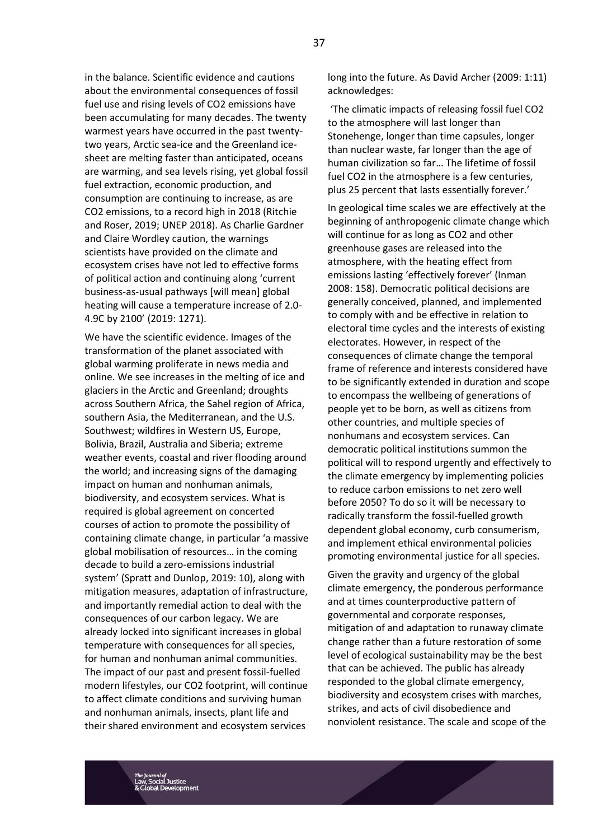in the balance. Scientific evidence and cautions about the environmental consequences of fossil fuel use and rising levels of CO2 emissions have been accumulating for many decades. The twenty warmest years have occurred in the past twentytwo years, Arctic sea-ice and the Greenland icesheet are melting faster than anticipated, oceans are warming, and sea levels rising, yet global fossil fuel extraction, economic production, and consumption are continuing to increase, as are CO2 emissions, to a record high in 2018 (Ritchie and Roser, 2019; UNEP 2018). As Charlie Gardner and Claire Wordley caution, the warnings scientists have provided on the climate and ecosystem crises have not led to effective forms of political action and continuing along 'current business-as-usual pathways [will mean] global heating will cause a temperature increase of 2.0- 4.9C by 2100' (2019: 1271).

We have the scientific evidence. Images of the transformation of the planet associated with global warming proliferate in news media and online. We see increases in the melting of ice and glaciers in the Arctic and Greenland; droughts across Southern Africa, the Sahel region of Africa, southern Asia, the Mediterranean, and the U.S. Southwest; wildfires in Western US, Europe, Bolivia, Brazil, Australia and Siberia; extreme weather events, coastal and river flooding around the world; and increasing signs of the damaging impact on human and nonhuman animals, biodiversity, and ecosystem services. What is required is global agreement on concerted courses of action to promote the possibility of containing climate change, in particular 'a massive global mobilisation of resources… in the coming decade to build a zero-emissions industrial system' (Spratt and Dunlop, 2019: 10), along with mitigation measures, adaptation of infrastructure, and importantly remedial action to deal with the consequences of our carbon legacy. We are already locked into significant increases in global temperature with consequences for all species, for human and nonhuman animal communities. The impact of our past and present fossil-fuelled modern lifestyles, our CO2 footprint, will continue to affect climate conditions and surviving human and nonhuman animals, insects, plant life and their shared environment and ecosystem services

long into the future. As David Archer (2009: 1:11) acknowledges:

'The climatic impacts of releasing fossil fuel CO2 to the atmosphere will last longer than Stonehenge, longer than time capsules, longer than nuclear waste, far longer than the age of human civilization so far… The lifetime of fossil fuel CO2 in the atmosphere is a few centuries, plus 25 percent that lasts essentially forever.'

In geological time scales we are effectively at the beginning of anthropogenic climate change which will continue for as long as CO2 and other greenhouse gases are released into the atmosphere, with the heating effect from emissions lasting 'effectively forever' (Inman 2008: 158). Democratic political decisions are generally conceived, planned, and implemented to comply with and be effective in relation to electoral time cycles and the interests of existing electorates. However, in respect of the consequences of climate change the temporal frame of reference and interests considered have to be significantly extended in duration and scope to encompass the wellbeing of generations of people yet to be born, as well as citizens from other countries, and multiple species of nonhumans and ecosystem services. Can democratic political institutions summon the political will to respond urgently and effectively to the climate emergency by implementing policies to reduce carbon emissions to net zero well before 2050? To do so it will be necessary to radically transform the fossil-fuelled growth dependent global economy, curb consumerism, and implement ethical environmental policies promoting environmental justice for all species.

Given the gravity and urgency of the global climate emergency, the ponderous performance and at times counterproductive pattern of governmental and corporate responses, mitigation of and adaptation to runaway climate change rather than a future restoration of some level of ecological sustainability may be the best that can be achieved. The public has already responded to the global climate emergency, biodiversity and ecosystem crises with marches, strikes, and acts of civil disobedience and nonviolent resistance. The scale and scope of the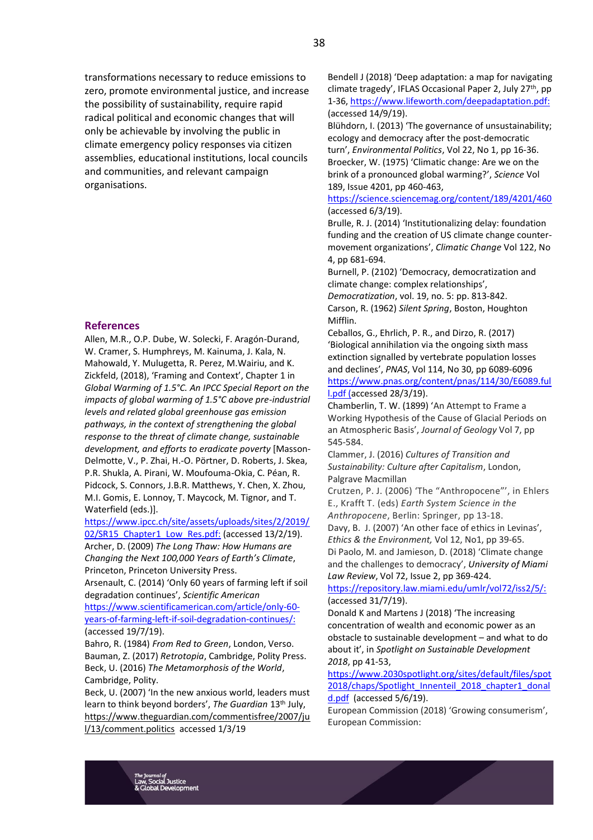transformations necessary to reduce emissions to zero, promote environmental justice, and increase the possibility of sustainability, require rapid radical political and economic changes that will only be achievable by involving the public in climate emergency policy responses via citizen assemblies, educational institutions, local councils and communities, and relevant campaign organisations.

#### **References**

Allen, M.R., O.P. Dube, W. Solecki, F. Aragón-Durand, W. Cramer, S. Humphreys, M. Kainuma, J. Kala, N. Mahowald, Y. Mulugetta, R. Perez, M.Wairiu, and K. Zickfeld, (2018), 'Framing and Context', Chapter 1 in *Global Warming of 1.5°C. An IPCC Special Report on the impacts of global warming of 1.5°C above pre-industrial levels and related global greenhouse gas emission pathways, in the context of strengthening the global response to the threat of climate change, sustainable development, and efforts to eradicate poverty* [Masson-Delmotte, V., P. Zhai, H.-O. Pörtner, D. Roberts, J. Skea, P.R. Shukla, A. Pirani, W. Moufouma-Okia, C. Péan, R. Pidcock, S. Connors, J.B.R. Matthews, Y. Chen, X. Zhou, M.I. Gomis, E. Lonnoy, T. Maycock, M. Tignor, and T. Waterfield (eds.)].

https://www.ipcc.ch/site/assets/uploads/sites/2/2019/

02/SR15 Chapter1 Low Res.pdf: (accessed 13/2/19). Archer, D. (2009) *The Long Thaw: How Humans are Changing the Next 100,000 Years of Earth's Climate*, Princeton, Princeton University Press.

Arsenault, C. (2014) 'Only 60 years of farming left if soil degradation continues', *Scientific American*

[https://www.scientificamerican.com/article/only-60](https://www.scientificamerican.com/article/only-60-years-of-farming-left-if-soil-degradation-continues/) [years-of-farming-left-if-soil-degradation-continues/:](https://www.scientificamerican.com/article/only-60-years-of-farming-left-if-soil-degradation-continues/) (accessed 19/7/19).

Bahro, R. (1984) *From Red to Green*, London, Verso. Bauman, Z. (2017) *Retrotopia*, Cambridge, Polity Press. Beck, U. (2016) *The Metamorphosis of the World*, Cambridge, Polity.

Beck, U. (2007) 'In the new anxious world, leaders must learn to think beyond borders', *The Guardian* 13th July, [https://www.theguardian.com/commentisfree/2007/ju](about:blank) [l/13/comment.politics](about:blank) accessed 1/3/19

Bendell J (2018) 'Deep adaptation: a map for navigating climate tragedy', IFLAS Occasional Paper 2, July 27<sup>th</sup>, pp 1-36[, https://www.lifeworth.com/deepadaptation.pdf:](https://www.lifeworth.com/deepadaptation.pdf) (accessed 14/9/19).

Blühdorn, I. (2013) 'The governance of unsustainability; ecology and democracy after the post-democratic turn', *Environmental Politics*, Vol 22, No 1, pp 16-36. Broecker, W. (1975) 'Climatic change: Are we on the brink of a pronounced global warming?', *Science* Vol 189, Issue 4201, pp 460-463,

https://science.sciencemag.org/content/189/4201/460 (accessed 6/3/19).

Brulle, R. J. (2014) 'Institutionalizing delay: foundation funding and the creation of US climate change countermovement organizations', *Climatic Change* Vol 122, No 4, pp 681-694.

Burnell, P. (2102) 'Democracy, democratization and climate change: complex relationships',

*Democratization*, vol. 19, no. 5: pp. 813-842. Carson, R. (1962) *Silent Spring*, Boston, Houghton Mifflin.

Ceballos, G., Ehrlich, P. R., and Dirzo, R. (2017) 'Biological annihilation via the ongoing sixth mass extinction signalled by vertebrate population losses and declines', *PNAS*, Vol 114, No 30, pp 6089-6096 https://www.pnas.org/content/pnas/114/30/E6089.ful l.pdf (accessed 28/3/19).

Chamberlin, T. W. (1899) 'An Attempt to Frame a Working Hypothesis of the Cause of Glacial Periods on an Atmospheric Basis', *Journal of Geology* Vol 7, pp 545-584.

Clammer, J. (2016) *Cultures of Transition and Sustainability: Culture after Capitalism*, London, Palgrave Macmillan

Crutzen, P. J. (2006) 'The "Anthropocene"', in Ehlers E., Krafft T. (eds) *Earth System Science in the* 

*Anthropocene*, Berlin: Springer, pp 13-18. Davy, B. J. (2007) 'An other face of ethics in Levinas', *Ethics & the Environment,* Vol 12, No1, pp 39-65. Di Paolo, M. and Jamieson, D. (2018) 'Climate change and the challenges to democracy', *University of Miami Law Review*, Vol 72, Issue 2, pp 369-424.

[https://repository.law.miami.edu/umlr/vol72/iss2/5/:](https://repository.law.miami.edu/umlr/vol72/iss2/5/) (accessed 31/7/19).

Donald K and Martens J (2018) 'The increasing concentration of wealth and economic power as an obstacle to sustainable development – and what to do about it', in *Spotlight on Sustainable Development 2018*, pp 41-53,

[https://www.2030spotlight.org/sites/default/files/spot](https://www.2030spotlight.org/sites/default/files/spot2018/chaps/Spotlight_Innenteil_2018_chapter1_donald.pdf) [2018/chaps/Spotlight\\_Innenteil\\_2018\\_chapter1\\_donal](https://www.2030spotlight.org/sites/default/files/spot2018/chaps/Spotlight_Innenteil_2018_chapter1_donald.pdf) [d.pdf](https://www.2030spotlight.org/sites/default/files/spot2018/chaps/Spotlight_Innenteil_2018_chapter1_donald.pdf) (accessed 5/6/19).

European Commission (2018) 'Growing consumerism', European Commission:

<sup>nal of</sup><br>วCial Justice **Il Development**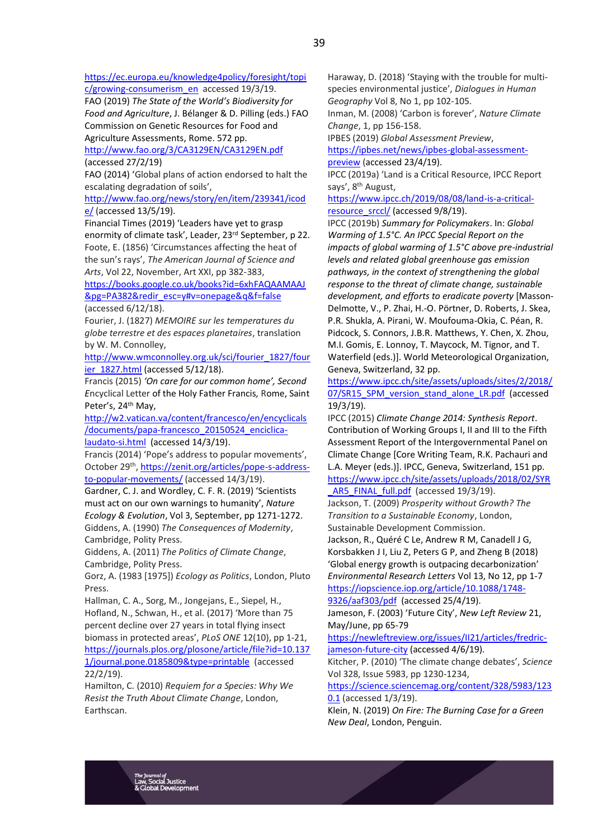[https://ec.europa.eu/knowledge4policy/foresight/topi](https://ec.europa.eu/knowledge4policy/foresight/topic/growing-consumerism_en) [c/growing-consumerism\\_en](https://ec.europa.eu/knowledge4policy/foresight/topic/growing-consumerism_en) accessed 19/3/19.

FAO (2019) *The State of the World's Biodiversity for Food and Agriculture*, J. Bélanger & D. Pilling (eds.) FAO Commission on Genetic Resources for Food and Agriculture Assessments, Rome. 572 pp.

<http://www.fao.org/3/CA3129EN/CA3129EN.pdf> (accessed 27/2/19)

FAO (2014) 'Global plans of action endorsed to halt the escalating degradation of soils',

[http://www.fao.org/news/story/en/item/239341/icod](http://www.fao.org/news/story/en/item/239341/icode/) [e/](http://www.fao.org/news/story/en/item/239341/icode/) (accessed 13/5/19).

Financial Times (2019) 'Leaders have yet to grasp enormity of climate task', Leader, 23rd September, p 22. Foote, E. (1856) 'Circumstances affecting the heat of the sun's rays', *The American Journal of Science and Arts*, Vol 22, November, Art XXI, pp 382-383,

[https://books.google.co.uk/books?id=6xhFAQAAMAAJ](https://books.google.co.uk/books?id=6xhFAQAAMAAJ&pg=PA382&redir_esc=y#v=onepage&q&f=false) [&pg=PA382&redir\\_esc=y#v=onepage&q&f=false](https://books.google.co.uk/books?id=6xhFAQAAMAAJ&pg=PA382&redir_esc=y#v=onepage&q&f=false) (accessed 6/12/18).

Fourier, J. (1827) *MEMOIRE sur les temperatures du globe terrestre et des espaces planetaires*, translation by W. M. Connolley,

[http://www.wmconnolley.org.uk/sci/fourier\\_1827/four](http://www.wmconnolley.org.uk/sci/fourier_1827/fourier_1827.html) [ier\\_1827.html](http://www.wmconnolley.org.uk/sci/fourier_1827/fourier_1827.html) (accessed 5/12/18).

Francis (2015) *'On care for our common home', Second E*ncyclical Letter of the Holy Father Francis*,* Rome, Saint Peter's, 24<sup>th</sup> May,

[http://w2.vatican.va/content/francesco/en/encyclicals](http://w2.vatican.va/content/francesco/en/encyclicals/documents/papa-francesco_20150524_enciclica-laudato-si.html) [/documents/papa-francesco\\_20150524\\_enciclica](http://w2.vatican.va/content/francesco/en/encyclicals/documents/papa-francesco_20150524_enciclica-laudato-si.html)[laudato-si.html](http://w2.vatican.va/content/francesco/en/encyclicals/documents/papa-francesco_20150524_enciclica-laudato-si.html) (accessed 14/3/19).

Francis (2014) 'Pope's address to popular movements', October 29<sup>th</sup>, [https://zenit.org/articles/pope-s-address](https://zenit.org/articles/pope-s-address-to-popular-movements/)[to-popular-movements/](https://zenit.org/articles/pope-s-address-to-popular-movements/) (accessed 14/3/19).

Gardner, C. J. and Wordley, C. F. R. (2019) 'Scientists must act on our own warnings to humanity', *Nature Ecology & Evolution*, Vol 3, September, pp 1271-1272. Giddens, A. (1990) *The Consequences of Modernity*,

Cambridge, Polity Press. Giddens, A. (2011) *The Politics of Climate Change*,

Cambridge, Polity Press.

Gorz, A. (1983 [1975]) *Ecology as Politics*, London, Pluto Press.

Hallman, C. A., Sorg, M., Jongejans, E., Siepel, H., Hofland, N., Schwan, H., et al. (2017) 'More than 75 percent decline over 27 years in total flying insect biomass in protected areas', *PLoS ONE* 12(10), pp 1-21, [https://journals.plos.org/plosone/article/file?id=10.137](https://journals.plos.org/plosone/article/file?id=10.1371/journal.pone.0185809&type=printable) [1/journal.pone.0185809&type=printable](https://journals.plos.org/plosone/article/file?id=10.1371/journal.pone.0185809&type=printable) (accessed 22/2/19).

Hamilton, C. (2010) *Requiem for a Species: Why We Resist the Truth About Climate Change*, London, Earthscan.

Haraway, D. (2018) 'Staying with the trouble for multispecies environmental justice', *Dialogues in Human Geography* Vol 8, No 1, pp 102-105.

Inman, M. (2008) 'Carbon is forever', *Nature Climate Change*, 1, pp 156-158.

IPBES (2019) *Global Assessment Preview*, [https://ipbes.net/news/ipbes-global-assessment-](https://ipbes.net/news/ipbes-global-assessment-preview)

[preview](https://ipbes.net/news/ipbes-global-assessment-preview) (accessed 23/4/19).

IPCC (2019a) 'Land is a Critical Resource, IPCC Report says', 8th August,

[https://www.ipcc.ch/2019/08/08/land-is-a-critical](https://www.ipcc.ch/2019/08/08/land-is-a-critical-resource_srccl/)[resource\\_srccl/](https://www.ipcc.ch/2019/08/08/land-is-a-critical-resource_srccl/) (accessed 9/8/19).

IPCC (2019b) *Summary for Policymakers*. In: *Global Warming of 1.5°C. An IPCC Special Report on the impacts of global warming of 1.5°C above pre-industrial levels and related global greenhouse gas emission pathways, in the context of strengthening the global response to the threat of climate change, sustainable development, and efforts to eradicate poverty* [Masson-Delmotte, V., P. Zhai, H.-O. Pörtner, D. Roberts, J. Skea, P.R. Shukla, A. Pirani, W. Moufouma-Okia, C. Péan, R. Pidcock, S. Connors, J.B.R. Matthews, Y. Chen, X. Zhou, M.I. Gomis, E. Lonnoy, T. Maycock, M. Tignor, and T. Waterfield (eds.)]. World Meteorological Organization, Geneva, Switzerland, 32 pp.

[https://www.ipcc.ch/site/assets/uploads/sites/2/2018/](https://www.ipcc.ch/site/assets/uploads/sites/2/2018/07/SR15_SPM_version_stand_alone_LR.pdf) [07/SR15\\_SPM\\_version\\_stand\\_alone\\_LR.pdf](https://www.ipcc.ch/site/assets/uploads/sites/2/2018/07/SR15_SPM_version_stand_alone_LR.pdf) (accessed 19/3/19).

IPCC (2015) *Climate Change 2014: Synthesis Report*. Contribution of Working Groups I, II and III to the Fifth Assessment Report of the Intergovernmental Panel on Climate Change [Core Writing Team, R.K. Pachauri and L.A. Meyer (eds.)]. IPCC, Geneva, Switzerland, 151 pp.

[https://www.ipcc.ch/site/assets/uploads/2018/02/SYR](https://www.ipcc.ch/site/assets/uploads/2018/02/SYR_AR5_FINAL_full.pdf) AR5\_FINAL\_full.pdf (accessed 19/3/19).

Jackson, T. (2009) *Prosperity without Growth? The Transition to a Sustainable Economy*, London, Sustainable Development Commission.

Jackson, R., Quéré C Le, Andrew R M, Canadell J G, Korsbakken J I, Liu Z, Peters G P, and Zheng B (2018) 'Global energy growth is outpacing decarbonization' *Environmental Research Letters* Vol 13, No 12, pp 1-7 [https://iopscience.iop.org/article/10.1088/1748-](https://iopscience.iop.org/article/10.1088/1748-9326/aaf303/pdf)

[9326/aaf303/pdf](https://iopscience.iop.org/article/10.1088/1748-9326/aaf303/pdf) (accessed 25/4/19). Jameson, F. (2003) 'Future City', *New Left Review* 21,

May/June, pp 65-79 [https://newleftreview.org/issues/II21/articles/fredric-](https://newleftreview.org/issues/II21/articles/fredric-jameson-future-city)

[jameson-future-city](https://newleftreview.org/issues/II21/articles/fredric-jameson-future-city) (accessed 4/6/19). Kitcher, P. (2010) 'The climate change debates', *Science*

Vol 328, Issue 5983, pp 1230-1234, [https://science.sciencemag.org/content/328/5983/123](https://science.sciencemag.org/content/328/5983/1230.1)

[0.1](https://science.sciencemag.org/content/328/5983/1230.1) (accessed 1/3/19). Klein, N. (2019) *On Fire: The Burning Case for a Green New Deal*, London, Penguin.

rnal of<br>¦OCIAl Justice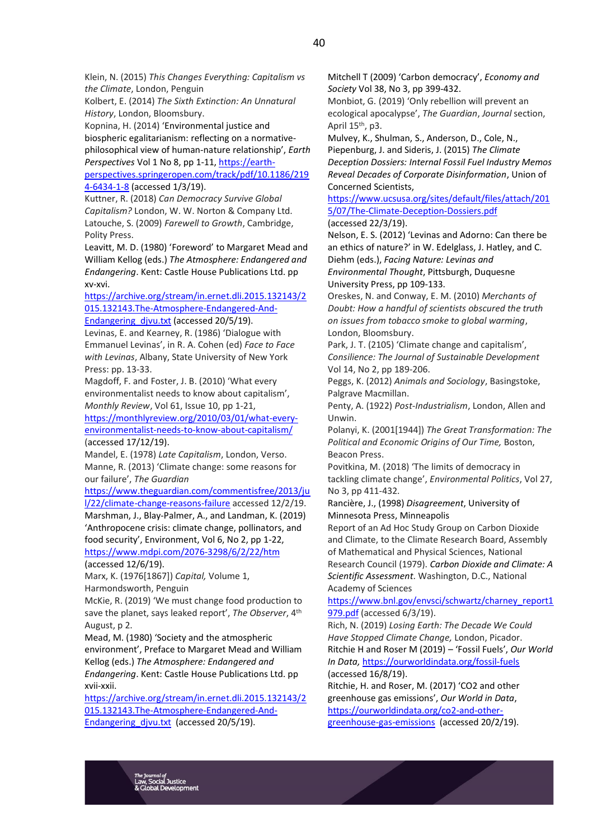Kolbert, E. (2014) *The Sixth Extinction: An Unnatural History*, London, Bloomsbury.

Kopnina, H. (2014) 'Environmental justice and biospheric egalitarianism: reflecting on a normativephilosophical view of human-nature relationship', *Earth Perspectives* Vol 1 No 8, pp 1-11, [https://earth-](https://earth-perspectives.springeropen.com/track/pdf/10.1186/2194-6434-1-8)

[perspectives.springeropen.com/track/pdf/10.1186/219](https://earth-perspectives.springeropen.com/track/pdf/10.1186/2194-6434-1-8) [4-6434-1-8](https://earth-perspectives.springeropen.com/track/pdf/10.1186/2194-6434-1-8) (accessed 1/3/19).

Kuttner, R. (2018) *Can Democracy Survive Global Capitalism?* London, W. W. Norton & Company Ltd. Latouche, S. (2009) *Farewell to Growth*, Cambridge, Polity Press.

Leavitt, M. D. (1980) 'Foreword' to Margaret Mead and William Kellog (eds.) *The Atmosphere: Endangered and Endangering*. Kent: Castle House Publications Ltd. pp xv-xvi.

[https://archive.org/stream/in.ernet.dli.2015.132143/2](https://archive.org/stream/in.ernet.dli.2015.132143/2015.132143.The-Atmosphere-Endangered-And-Endangering_djvu.txt) [015.132143.The-Atmosphere-Endangered-And-](https://archive.org/stream/in.ernet.dli.2015.132143/2015.132143.The-Atmosphere-Endangered-And-Endangering_djvu.txt)Endangering djvu.txt (accessed 20/5/19).

Levinas, E. and Kearney, R. (1986) 'Dialogue with Emmanuel Levinas', in R. A. Cohen (ed) *Face to Face with Levinas*, Albany, State University of New York Press: pp. 13-33.

Magdoff, F. and Foster, J. B. (2010) 'What every environmentalist needs to know about capitalism', *Monthly Review*, Vol 61, Issue 10, pp 1-21,

[https://monthlyreview.org/2010/03/01/what-every](https://monthlyreview.org/2010/03/01/what-every-environmentalist-needs-to-know-about-capitalism/)[environmentalist-needs-to-know-about-capitalism/](https://monthlyreview.org/2010/03/01/what-every-environmentalist-needs-to-know-about-capitalism/) (accessed 17/12/19).

Mandel, E. (1978) *Late Capitalism*, London, Verso. Manne, R. (2013) 'Climate change: some reasons for our failure', *The Guardian* 

[https://www.theguardian.com/commentisfree/2013/ju](https://www.theguardian.com/commentisfree/2013/jul/22/climate-change-reasons-failure) [l/22/climate-change-reasons-failure](https://www.theguardian.com/commentisfree/2013/jul/22/climate-change-reasons-failure) accessed 12/2/19.

Marshman, J., Blay-Palmer, A., and Landman, K. (2019) 'Anthropocene crisis: climate change, pollinators, and food security', Environment, Vol 6, No 2, pp 1-22, <https://www.mdpi.com/2076-3298/6/2/22/htm> (accessed 12/6/19).

Marx, K. (1976[1867]) *Capital,* Volume 1, Harmondsworth, Penguin

McKie, R. (2019) 'We must change food production to save the planet, says leaked report', *The Observer*, 4th August, p 2.

Mead, M. (1980) 'Society and the atmospheric environment', Preface to Margaret Mead and William Kellog (eds.) *The Atmosphere: Endangered and Endangering*. Kent: Castle House Publications Ltd. pp xvii-xxii.

[https://archive.org/stream/in.ernet.dli.2015.132143/2](https://archive.org/stream/in.ernet.dli.2015.132143/2015.132143.The-Atmosphere-Endangered-And-Endangering_djvu.txt) [015.132143.The-Atmosphere-Endangered-And-](https://archive.org/stream/in.ernet.dli.2015.132143/2015.132143.The-Atmosphere-Endangered-And-Endangering_djvu.txt)Endangering djvu.txt (accessed 20/5/19).

Mitchell T (2009) 'Carbon democracy', *Economy and Society* Vol 38, No 3, pp 399-432.

Monbiot, G. (2019) 'Only rebellion will prevent an ecological apocalypse', *The Guardian*, *Journal* section, April 15th, p3.

Mulvey, K., Shulman, S., Anderson, D., Cole, N., Piepenburg, J. and Sideris, J. (2015) *The Climate Deception Dossiers: Internal Fossil Fuel Industry Memos Reveal Decades of Corporate Disinformation*, Union of Concerned Scientists,

[https://www.ucsusa.org/sites/default/files/attach/201](https://www.ucsusa.org/sites/default/files/attach/2015/07/The-Climate-Deception-Dossiers.pdf) [5/07/The-Climate-Deception-Dossiers.pdf](https://www.ucsusa.org/sites/default/files/attach/2015/07/The-Climate-Deception-Dossiers.pdf) (accessed 22/3/19).

Nelson, E. S. (2012) 'Levinas and Adorno: Can there be an ethics of nature?' in W. Edelglass, J. Hatley, and C. Diehm (eds.), *Facing Nature: Levinas and Environmental Thought*, Pittsburgh, Duquesne University Press, pp 109-133.

Oreskes, N. and Conway, E. M. (2010) *Merchants of Doubt: How a handful of scientists obscured the truth on issues from tobacco smoke to global warming*, London, Bloomsbury.

Park, J. T. (2105) 'Climate change and capitalism', *Consilience: The Journal of Sustainable Development* Vol 14, No 2, pp 189-206.

Peggs, K. (2012) *Animals and Sociology*, Basingstoke, Palgrave Macmillan.

Penty, A. (1922) *Post-Industrialism*, London, Allen and Unwin.

Polanyi, K. (2001[1944]) *The Great Transformation: The Political and Economic Origins of Our Time,* Boston, Beacon Press.

Povitkina, M. (2018) 'The limits of democracy in tackling climate change', *Environmental Politics*, Vol 27, No 3, pp 411-432.

Rancière, J., (1998) *Disagreement*, University of Minnesota Press, Minneapolis

Report of an Ad Hoc Study Group on Carbon Dioxide and Climate, to the Climate Research Board, Assembly of Mathematical and Physical Sciences, National Research Council (1979). *[Carbon Dioxide and Climate: A](about:blank)  [Scientific Assessment](about:blank)*. Washington, D.C., National Academy of Sciences

[https://www.bnl.gov/envsci/schwartz/charney\\_report1](https://www.bnl.gov/envsci/schwartz/charney_report1979.pdf) [979.pdf](https://www.bnl.gov/envsci/schwartz/charney_report1979.pdf) (accessed 6/3/19).

Rich, N. (2019) *Losing Earth: The Decade We Could Have Stopped Climate Change,* London, Picador. Ritchie H and Roser M (2019) – 'Fossil Fuels', *Our World In Data,* <https://ourworldindata.org/fossil-fuels> (accessed 16/8/19).

Ritchie, H. and Roser, M. (2017) 'CO2 and other greenhouse gas emissions', *Our World in Data*, [https://ourworldindata.org/co2-and-other](https://ourworldindata.org/co2-and-other-greenhouse-gas-emissions)[greenhouse-gas-emissions](https://ourworldindata.org/co2-and-other-greenhouse-gas-emissions) (accessed 20/2/19).

rnal of<br>¦Ocial Justice **Il Development**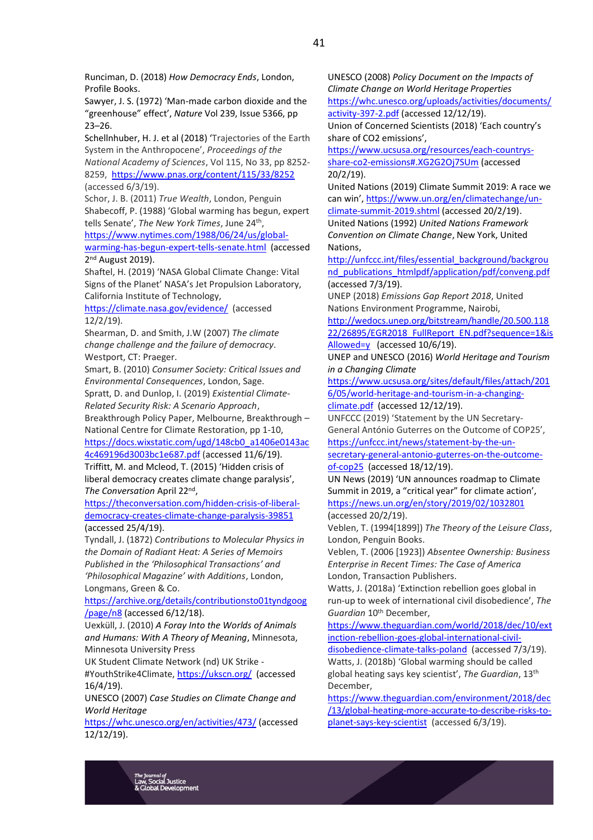Runciman, D. (2018) *How Democracy Ends*, London, Profile Books.

Sawyer, J. S. (1972) 'Man-made carbon dioxide and the "greenhouse" effect', *Nature* Vol 239, Issue 5366, pp 23–26.

Schellnhuber, H. J. et al (2018) 'Trajectories of the Earth System in the Anthropocene', *Proceedings of the National Academy of Sciences*, Vol 115, No 33, pp 8252- 8259, <https://www.pnas.org/content/115/33/8252>

(accessed 6/3/19).

Schor, J. B. (2011) *True Wealth*, London, Penguin Shabecoff, P. (1988) 'Global warming has begun, expert tells Senate', *The New York Times*, June 24th ,

[https://www.nytimes.com/1988/06/24/us/global](https://www.nytimes.com/1988/06/24/us/global-warming-has-begun-expert-tells-senate.html)[warming-has-begun-expert-tells-senate.html](https://www.nytimes.com/1988/06/24/us/global-warming-has-begun-expert-tells-senate.html) (accessed 2<sup>nd</sup> August 2019).

Shaftel, H. (2019) 'NASA Global Climate Change: Vital Signs of the Planet' NASA's Jet Propulsion Laboratory, California Institute of Technology,

<https://climate.nasa.gov/evidence/>(accessed 12/2/19).

Shearman, D. and Smith, J.W (2007) *The climate change challenge and the failure of democracy*. Westport, CT: Praeger.

Smart, B. (2010) *Consumer Society: Critical Issues and Environmental Consequences*, London, Sage.

Spratt, D. and Dunlop, I. (2019) *Existential Climate-Related Security Risk: A Scenario Approach*, Breakthrough Policy Paper, Melbourne, Breakthrough –

National Centre for Climate Restoration, pp 1-10,

[https://docs.wixstatic.com/ugd/148cb0\\_a1406e0143ac](https://docs.wixstatic.com/ugd/148cb0_a1406e0143ac4c469196d3003bc1e687.pdf) [4c469196d3003bc1e687.pdf](https://docs.wixstatic.com/ugd/148cb0_a1406e0143ac4c469196d3003bc1e687.pdf) (accessed 11/6/19). Triffitt, M. and Mcleod, T. (2015) 'Hidden crisis of liberal democracy creates climate change paralysis',

*The Conversation* April 22nd , [https://theconversation.com/hidden-crisis-of-liberal](https://theconversation.com/hidden-crisis-of-liberal-democracy-creates-climate-change-paralysis-39851)[democracy-creates-climate-change-paralysis-39851](https://theconversation.com/hidden-crisis-of-liberal-democracy-creates-climate-change-paralysis-39851)

(accessed 25/4/19).

Tyndall, J. (1872) *Contributions to Molecular Physics in the Domain of Radiant Heat: A Series of Memoirs Published in the 'Philosophical Transactions' and 'Philosophical Magazine' with Additions*, London, Longmans, Green & Co.

[https://archive.org/details/contributionsto01tyndgoog](https://archive.org/details/contributionsto01tyndgoog/page/n8) [/page/n8](https://archive.org/details/contributionsto01tyndgoog/page/n8) (accessed 6/12/18).

Uexküll, J. (2010) *A Foray Into the Worlds of Animals and Humans: With A Theory of Meaning*, Minnesota, Minnesota University Press

UK Student Climate Network (nd) UK Strike - #YouthStrike4Climate,<https://ukscn.org/>(accessed 16/4/19).

UNESCO (2007) *Case Studies on Climate Change and World Heritage* 

<https://whc.unesco.org/en/activities/473/> (accessed 12/12/19).

UNESCO (2008) *Policy Document on the Impacts of Climate Change on World Heritage Properties* [https://whc.unesco.org/uploads/activities/documents/](https://whc.unesco.org/uploads/activities/documents/activity-397-2.pdf)

[activity-397-2.pdf](https://whc.unesco.org/uploads/activities/documents/activity-397-2.pdf) (accessed 12/12/19). Union of Concerned Scientists (2018) 'Each country's share of CO2 emissions',

[https://www.ucsusa.org/resources/each-countrys](https://www.ucsusa.org/resources/each-countrys-share-co2-emissions#.XG2G2Oj7SUm)[share-co2-emissions#.XG2G2Oj7SUm](https://www.ucsusa.org/resources/each-countrys-share-co2-emissions#.XG2G2Oj7SUm) (accessed 20/2/19).

United Nations (2019) Climate Summit 2019: A race we can win', [https://www.un.org/en/climatechange/un](https://www.un.org/en/climatechange/un-climate-summit-2019.shtml)[climate-summit-2019.shtml](https://www.un.org/en/climatechange/un-climate-summit-2019.shtml) (accessed 20/2/19). United Nations (1992) *United Nations Framework Convention on Climate Change*, New York, United Nations,

[http://unfccc.int/files/essential\\_background/backgrou](http://unfccc.int/files/essential_background/background_publications_htmlpdf/application/pdf/conveng.pdf) [nd\\_publications\\_htmlpdf/application/pdf/conveng.pdf](http://unfccc.int/files/essential_background/background_publications_htmlpdf/application/pdf/conveng.pdf)  (accessed 7/3/19).

UNEP (2018) *Emissions Gap Report 2018*, United Nations Environment Programme, Nairobi,

[http://wedocs.unep.org/bitstream/handle/20.500.118](http://wedocs.unep.org/bitstream/handle/20.500.11822/26895/EGR2018_FullReport_EN.pdf?sequence=1&isAllowed=y) [22/26895/EGR2018\\_FullReport\\_EN.pdf?sequence=1&is](http://wedocs.unep.org/bitstream/handle/20.500.11822/26895/EGR2018_FullReport_EN.pdf?sequence=1&isAllowed=y) [Allowed=y](http://wedocs.unep.org/bitstream/handle/20.500.11822/26895/EGR2018_FullReport_EN.pdf?sequence=1&isAllowed=y) (accessed 10/6/19).

UNEP and UNESCO (2016) *World Heritage and Tourism in a Changing Climate* 

[https://www.ucsusa.org/sites/default/files/attach/201](https://www.ucsusa.org/sites/default/files/attach/2016/05/world-heritage-and-tourism-in-a-changing-climate.pdf) [6/05/world-heritage-and-tourism-in-a-changing](https://www.ucsusa.org/sites/default/files/attach/2016/05/world-heritage-and-tourism-in-a-changing-climate.pdf)[climate.pdf](https://www.ucsusa.org/sites/default/files/attach/2016/05/world-heritage-and-tourism-in-a-changing-climate.pdf) (accessed 12/12/19).

UNFCCC (2019) 'Statement by the UN Secretary-General António Guterres on the Outcome of COP25',

[https://unfccc.int/news/statement-by-the-un-](https://unfccc.int/news/statement-by-the-un-secretary-general-antonio-guterres-on-the-outcome-of-cop25)

[secretary-general-antonio-guterres-on-the-outcome](https://unfccc.int/news/statement-by-the-un-secretary-general-antonio-guterres-on-the-outcome-of-cop25)[of-cop25](https://unfccc.int/news/statement-by-the-un-secretary-general-antonio-guterres-on-the-outcome-of-cop25) (accessed 18/12/19).

UN News (2019) 'UN announces roadmap to Climate Summit in 2019, a "critical year" for climate action', <https://news.un.org/en/story/2019/02/1032801> (accessed 20/2/19).

Veblen, T. (1994[1899]) *The Theory of the Leisure Class*, London, Penguin Books.

Veblen, T. (2006 [1923]) *Absentee Ownership: Business Enterprise in Recent Times: The Case of America* London, Transaction Publishers.

Watts, J. (2018a) 'Extinction rebellion goes global in run-up to week of international civil disobedience', *The Guardian* 10th December,

[https://www.theguardian.com/world/2018/dec/10/ext](https://www.theguardian.com/world/2018/dec/10/extinction-rebellion-goes-global-international-civil-disobedience-climate-talks-poland) [inction-rebellion-goes-global-international-civil-](https://www.theguardian.com/world/2018/dec/10/extinction-rebellion-goes-global-international-civil-disobedience-climate-talks-poland)

[disobedience-climate-talks-poland](https://www.theguardian.com/world/2018/dec/10/extinction-rebellion-goes-global-international-civil-disobedience-climate-talks-poland) (accessed 7/3/19). Watts, J. (2018b) 'Global warming should be called global heating says key scientist', *The Guardian*, 13th December,

[https://www.theguardian.com/environment/2018/dec](https://www.theguardian.com/environment/2018/dec/13/global-heating-more-accurate-to-describe-risks-to-planet-says-key-scientist) [/13/global-heating-more-accurate-to-describe-risks-to](https://www.theguardian.com/environment/2018/dec/13/global-heating-more-accurate-to-describe-risks-to-planet-says-key-scientist)[planet-says-key-scientist](https://www.theguardian.com/environment/2018/dec/13/global-heating-more-accurate-to-describe-risks-to-planet-says-key-scientist) (accessed 6/3/19).